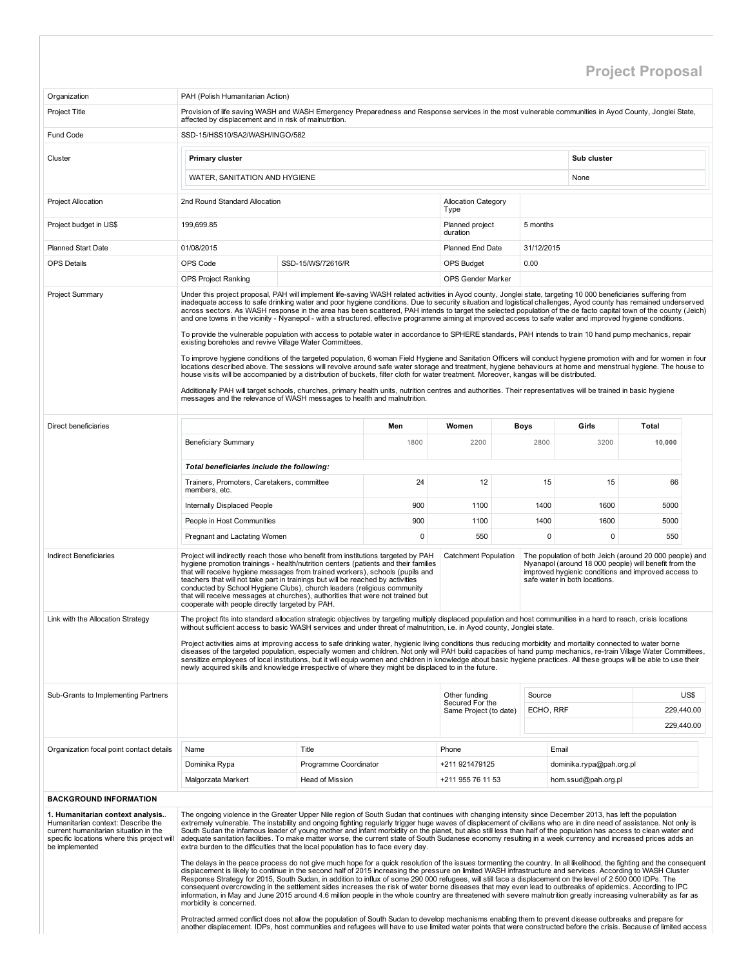## Project Proposal

| Organization                                                                                                                                                                    | PAH (Polish Humanitarian Action)                                                                                                                                                                                                                                                                                                                                                                                                                                                                                                                                                                                                                                                                                                                                                                                                                                                                                                                                                                                                                                                                                                                                                                                                                                                                                                                                                                                                                                                                                                                                                                                                 |                        |             |                                           |              |                                                                                                                                                                                                          |                        |      |
|---------------------------------------------------------------------------------------------------------------------------------------------------------------------------------|----------------------------------------------------------------------------------------------------------------------------------------------------------------------------------------------------------------------------------------------------------------------------------------------------------------------------------------------------------------------------------------------------------------------------------------------------------------------------------------------------------------------------------------------------------------------------------------------------------------------------------------------------------------------------------------------------------------------------------------------------------------------------------------------------------------------------------------------------------------------------------------------------------------------------------------------------------------------------------------------------------------------------------------------------------------------------------------------------------------------------------------------------------------------------------------------------------------------------------------------------------------------------------------------------------------------------------------------------------------------------------------------------------------------------------------------------------------------------------------------------------------------------------------------------------------------------------------------------------------------------------|------------------------|-------------|-------------------------------------------|--------------|----------------------------------------------------------------------------------------------------------------------------------------------------------------------------------------------------------|------------------------|------|
| Project Title                                                                                                                                                                   | Provision of life saving WASH and WASH Emergency Preparedness and Response services in the most vulnerable communities in Ayod County, Jonglei State,                                                                                                                                                                                                                                                                                                                                                                                                                                                                                                                                                                                                                                                                                                                                                                                                                                                                                                                                                                                                                                                                                                                                                                                                                                                                                                                                                                                                                                                                            |                        |             |                                           |              |                                                                                                                                                                                                          |                        |      |
|                                                                                                                                                                                 | affected by displacement and in risk of malnutrition.                                                                                                                                                                                                                                                                                                                                                                                                                                                                                                                                                                                                                                                                                                                                                                                                                                                                                                                                                                                                                                                                                                                                                                                                                                                                                                                                                                                                                                                                                                                                                                            |                        |             |                                           |              |                                                                                                                                                                                                          |                        |      |
| Fund Code                                                                                                                                                                       | SSD-15/HSS10/SA2/WASH/INGO/582                                                                                                                                                                                                                                                                                                                                                                                                                                                                                                                                                                                                                                                                                                                                                                                                                                                                                                                                                                                                                                                                                                                                                                                                                                                                                                                                                                                                                                                                                                                                                                                                   |                        |             |                                           |              |                                                                                                                                                                                                          |                        |      |
| Cluster                                                                                                                                                                         | Primary cluster                                                                                                                                                                                                                                                                                                                                                                                                                                                                                                                                                                                                                                                                                                                                                                                                                                                                                                                                                                                                                                                                                                                                                                                                                                                                                                                                                                                                                                                                                                                                                                                                                  |                        |             |                                           |              | Sub cluster                                                                                                                                                                                              |                        |      |
|                                                                                                                                                                                 | WATER, SANITATION AND HYGIENE                                                                                                                                                                                                                                                                                                                                                                                                                                                                                                                                                                                                                                                                                                                                                                                                                                                                                                                                                                                                                                                                                                                                                                                                                                                                                                                                                                                                                                                                                                                                                                                                    |                        |             |                                           |              | None                                                                                                                                                                                                     |                        |      |
| <b>Project Allocation</b>                                                                                                                                                       | 2nd Round Standard Allocation                                                                                                                                                                                                                                                                                                                                                                                                                                                                                                                                                                                                                                                                                                                                                                                                                                                                                                                                                                                                                                                                                                                                                                                                                                                                                                                                                                                                                                                                                                                                                                                                    |                        |             | <b>Allocation Category</b><br>Type        |              |                                                                                                                                                                                                          |                        |      |
| Project budget in US\$                                                                                                                                                          | 199,699.85                                                                                                                                                                                                                                                                                                                                                                                                                                                                                                                                                                                                                                                                                                                                                                                                                                                                                                                                                                                                                                                                                                                                                                                                                                                                                                                                                                                                                                                                                                                                                                                                                       |                        |             | Planned project<br>duration               | 5 months     |                                                                                                                                                                                                          |                        |      |
| <b>Planned Start Date</b>                                                                                                                                                       | 01/08/2015                                                                                                                                                                                                                                                                                                                                                                                                                                                                                                                                                                                                                                                                                                                                                                                                                                                                                                                                                                                                                                                                                                                                                                                                                                                                                                                                                                                                                                                                                                                                                                                                                       |                        |             | Planned End Date                          | 31/12/2015   |                                                                                                                                                                                                          |                        |      |
| <b>OPS Details</b>                                                                                                                                                              | OPS Code                                                                                                                                                                                                                                                                                                                                                                                                                                                                                                                                                                                                                                                                                                                                                                                                                                                                                                                                                                                                                                                                                                                                                                                                                                                                                                                                                                                                                                                                                                                                                                                                                         | SSD-15/WS/72616/R      |             | <b>OPS Budget</b>                         | 0.00         |                                                                                                                                                                                                          |                        |      |
|                                                                                                                                                                                 | <b>OPS Project Ranking</b>                                                                                                                                                                                                                                                                                                                                                                                                                                                                                                                                                                                                                                                                                                                                                                                                                                                                                                                                                                                                                                                                                                                                                                                                                                                                                                                                                                                                                                                                                                                                                                                                       |                        |             | <b>OPS Gender Marker</b>                  |              |                                                                                                                                                                                                          |                        |      |
| <b>Project Summary</b>                                                                                                                                                          | Under this project proposal, PAH will implement life-saving WASH related activities in Ayod county, Jonglei state, targeting 10 000 beneficiaries suffering from<br>inadequate access to safe drinking water and poor hygiene conditions. Due to security situation and logistical challenges, Ayod county has remained underserved<br>across sectors. As WASH response in the area has been scattered, PAH intends to target the selected population of the de facto capital town of the county (Jeich)<br>and one towns in the vicinity - Nyanepol - with a structured, effective programme aiming at improved access to safe water and improved hygiene conditions.<br>To provide the vulnerable population with access to potable water in accordance to SPHERE standards, PAH intends to train 10 hand pump mechanics, repair<br>existing boreholes and revive Village Water Committees.<br>To improve hygiene conditions of the targeted population, 6 woman Field Hygiene and Sanitation Officers will conduct hygiene promotion with and for women in four<br>locations described above. The sessions will revolve around safe water storage and treatment, hygiene behaviours at home and menstrual hygiene. The house to<br>house visits will be accompanied by a distribution of buckets, filter cloth for water treatment. Moreover, kangas will be distributed.<br>Additionally PAH will target schools, churches, primary health units, nutrition centres and authorities. Their representatives will be trained in basic hygiene<br>messages and the relevance of WASH messages to health and malnutrition.       |                        |             |                                           |              |                                                                                                                                                                                                          |                        |      |
|                                                                                                                                                                                 |                                                                                                                                                                                                                                                                                                                                                                                                                                                                                                                                                                                                                                                                                                                                                                                                                                                                                                                                                                                                                                                                                                                                                                                                                                                                                                                                                                                                                                                                                                                                                                                                                                  |                        |             |                                           |              |                                                                                                                                                                                                          |                        |      |
| Direct beneficiaries                                                                                                                                                            | <b>Beneficiary Summary</b>                                                                                                                                                                                                                                                                                                                                                                                                                                                                                                                                                                                                                                                                                                                                                                                                                                                                                                                                                                                                                                                                                                                                                                                                                                                                                                                                                                                                                                                                                                                                                                                                       |                        | Men<br>1800 | Women<br>2200                             | Boys<br>2800 | Girls<br>3200                                                                                                                                                                                            | <b>Total</b><br>10,000 |      |
|                                                                                                                                                                                 |                                                                                                                                                                                                                                                                                                                                                                                                                                                                                                                                                                                                                                                                                                                                                                                                                                                                                                                                                                                                                                                                                                                                                                                                                                                                                                                                                                                                                                                                                                                                                                                                                                  |                        |             |                                           |              |                                                                                                                                                                                                          |                        |      |
|                                                                                                                                                                                 | Total beneficiaries include the following:<br>Trainers, Promoters, Caretakers, committee                                                                                                                                                                                                                                                                                                                                                                                                                                                                                                                                                                                                                                                                                                                                                                                                                                                                                                                                                                                                                                                                                                                                                                                                                                                                                                                                                                                                                                                                                                                                         |                        | 24          | 12                                        | 15           | 15                                                                                                                                                                                                       | 66                     |      |
|                                                                                                                                                                                 | members, etc.<br>Internally Displaced People                                                                                                                                                                                                                                                                                                                                                                                                                                                                                                                                                                                                                                                                                                                                                                                                                                                                                                                                                                                                                                                                                                                                                                                                                                                                                                                                                                                                                                                                                                                                                                                     |                        | 900         | 1100                                      | 1400         | 1600                                                                                                                                                                                                     | 5000                   |      |
|                                                                                                                                                                                 | People in Host Communities                                                                                                                                                                                                                                                                                                                                                                                                                                                                                                                                                                                                                                                                                                                                                                                                                                                                                                                                                                                                                                                                                                                                                                                                                                                                                                                                                                                                                                                                                                                                                                                                       |                        | 900         | 1100                                      | 1400         | 1600                                                                                                                                                                                                     | 5000                   |      |
|                                                                                                                                                                                 | Pregnant and Lactating Women                                                                                                                                                                                                                                                                                                                                                                                                                                                                                                                                                                                                                                                                                                                                                                                                                                                                                                                                                                                                                                                                                                                                                                                                                                                                                                                                                                                                                                                                                                                                                                                                     |                        | 0           | 550                                       | $\mathbf 0$  | 0                                                                                                                                                                                                        | 550                    |      |
| <b>Indirect Beneficiaries</b>                                                                                                                                                   | Project will indirectly reach those who benefit from institutions targeted by PAH<br>hygiene promotion trainings - health/nutrition centers (patients and their families<br>that will receive hygiene messages from trained workers), schools (pupils and<br>teachers that will not take part in trainings but will be reached by activities<br>conducted by School Hygiene Clubs), church leaders (religious community<br>that will receive messages at churches), authorities that were not trained but<br>cooperate with people directly targeted by PAH.                                                                                                                                                                                                                                                                                                                                                                                                                                                                                                                                                                                                                                                                                                                                                                                                                                                                                                                                                                                                                                                                     |                        |             | <b>Catchment Population</b>               |              | The population of both Jeich (around 20 000 people) and<br>Nyanapol (around 18 000 people) will benefit from the<br>improved hygienic conditions and improved access to<br>safe water in both locations. |                        |      |
| Link with the Allocation Strategy                                                                                                                                               | The project fits into standard allocation strategic objectives by targeting multiply displaced population and host communities in a hard to reach, crisis locations                                                                                                                                                                                                                                                                                                                                                                                                                                                                                                                                                                                                                                                                                                                                                                                                                                                                                                                                                                                                                                                                                                                                                                                                                                                                                                                                                                                                                                                              |                        |             |                                           |              |                                                                                                                                                                                                          |                        |      |
|                                                                                                                                                                                 | without sufficient access to basic WASH services and under threat of malnutrition, i.e. in Ayod county, Jonglei state.<br>Project activities aims at improving access to safe drinking water, hygienic living conditions thus reducing morbidity and mortality connected to water borne<br>diseases of the targeted population, especially women and children. Not only will PAH build capacities of hand pump mechanics, re-train Village Water Committees,<br>sensitize employees of local institutions, but it will equip women and children in knowledge about basic hygiene practices. All these groups will be able to use their<br>newly acquired skills and knowledge irrespective of where they might be displaced to in the future.                                                                                                                                                                                                                                                                                                                                                                                                                                                                                                                                                                                                                                                                                                                                                                                                                                                                                    |                        |             |                                           |              |                                                                                                                                                                                                          |                        |      |
| Sub-Grants to Implementing Partners                                                                                                                                             |                                                                                                                                                                                                                                                                                                                                                                                                                                                                                                                                                                                                                                                                                                                                                                                                                                                                                                                                                                                                                                                                                                                                                                                                                                                                                                                                                                                                                                                                                                                                                                                                                                  |                        |             | Other funding                             | Source       |                                                                                                                                                                                                          |                        | US\$ |
|                                                                                                                                                                                 |                                                                                                                                                                                                                                                                                                                                                                                                                                                                                                                                                                                                                                                                                                                                                                                                                                                                                                                                                                                                                                                                                                                                                                                                                                                                                                                                                                                                                                                                                                                                                                                                                                  |                        |             | Secured For the<br>Same Project (to date) | ECHO, RRF    |                                                                                                                                                                                                          | 229,440.00             |      |
|                                                                                                                                                                                 |                                                                                                                                                                                                                                                                                                                                                                                                                                                                                                                                                                                                                                                                                                                                                                                                                                                                                                                                                                                                                                                                                                                                                                                                                                                                                                                                                                                                                                                                                                                                                                                                                                  |                        |             |                                           |              |                                                                                                                                                                                                          | 229,440.00             |      |
| Organization focal point contact details                                                                                                                                        | Name                                                                                                                                                                                                                                                                                                                                                                                                                                                                                                                                                                                                                                                                                                                                                                                                                                                                                                                                                                                                                                                                                                                                                                                                                                                                                                                                                                                                                                                                                                                                                                                                                             | Title                  |             | Phone                                     |              | Email                                                                                                                                                                                                    |                        |      |
|                                                                                                                                                                                 | Dominika Rypa                                                                                                                                                                                                                                                                                                                                                                                                                                                                                                                                                                                                                                                                                                                                                                                                                                                                                                                                                                                                                                                                                                                                                                                                                                                                                                                                                                                                                                                                                                                                                                                                                    | Programme Coordinator  |             | +211 921479125                            |              | dominika.rypa@pah.org.pl                                                                                                                                                                                 |                        |      |
|                                                                                                                                                                                 | Malgorzata Markert                                                                                                                                                                                                                                                                                                                                                                                                                                                                                                                                                                                                                                                                                                                                                                                                                                                                                                                                                                                                                                                                                                                                                                                                                                                                                                                                                                                                                                                                                                                                                                                                               | <b>Head of Mission</b> |             | +211 955 76 11 53                         |              | hom.ssud@pah.org.pl                                                                                                                                                                                      |                        |      |
| <b>BACKGROUND INFORMATION</b>                                                                                                                                                   |                                                                                                                                                                                                                                                                                                                                                                                                                                                                                                                                                                                                                                                                                                                                                                                                                                                                                                                                                                                                                                                                                                                                                                                                                                                                                                                                                                                                                                                                                                                                                                                                                                  |                        |             |                                           |              |                                                                                                                                                                                                          |                        |      |
| 1. Humanitarian context analysis<br>Humanitarian context: Describe the<br>current humanitarian situation in the<br>specific locations where this project will<br>be implemented | The ongoing violence in the Greater Upper Nile region of South Sudan that continues with changing intensity since December 2013, has left the population<br>extremely vulnerable. The instability and ongoing fighting regularly trigger huge waves of displacement of civilians who are in dire need of assistance. Not only is<br>South Sudan the infamous leader of young mother and infant morbidity on the planet, but also still less than half of the population has access to clean water and<br>adequate sanitation facilities. To make matter worse, the current state of South Sudanese economy resulting in a week currency and increased prices adds an<br>extra burden to the difficulties that the local population has to face every day.<br>The delays in the peace process do not give much hope for a quick resolution of the issues tormenting the country. In all likelihood, the fighting and the consequent<br>displacement is likely to continue in the second half of 2015 increasing the pressure on limited WASH infrastructure and services. According to WASH Cluster<br>Response Strategy for 2015, South Sudan, in addition to influx of some 290 000 refugees, will still face a displacement on the level of 2 500 000 IDPs. The<br>consequent overcrowding in the settlement sides increases the risk of water borne diseases that may even lead to outbreaks of epidemics. According to IPC<br>information, in May and June 2015 around 4.6 million people in the whole country are threatened with severe malnutrition greatly increasing vulnerability as far as<br>morbidity is concerned. |                        |             |                                           |              |                                                                                                                                                                                                          |                        |      |
|                                                                                                                                                                                 | Protracted armed conflict does not allow the population of South Sudan to develop mechanisms enabling them to prevent disease outbreaks and prepare for<br>another displacement. IDPs, host communities and refugees will have to use limited water points that were constructed before the crisis. Because of limited access                                                                                                                                                                                                                                                                                                                                                                                                                                                                                                                                                                                                                                                                                                                                                                                                                                                                                                                                                                                                                                                                                                                                                                                                                                                                                                    |                        |             |                                           |              |                                                                                                                                                                                                          |                        |      |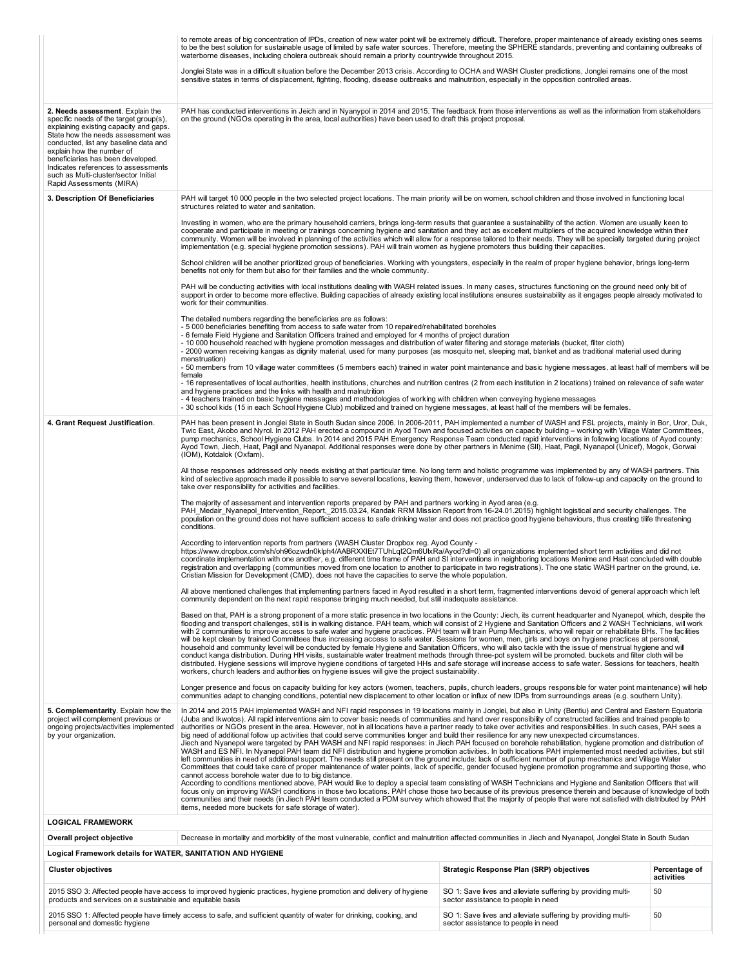|                                                                                                                                                                                                                                                                                                                                                                                  | to remote areas of big concentration of IPDs, creation of new water point will be extremely difficult. Therefore, proper maintenance of already existing ones seems<br>to be the best solution for sustainable usage of limited by safe water sources. Therefore, meeting the SPHERE standards, preventing and containing outbreaks of<br>waterborne diseases, including cholera outbreak should remain a priority countrywide throughout 2015.                                                                                                                                                                                                                                                                                                                                                                                                                                                                                                                                                                                                                                                                                                                                                                                                                                                                                                                                                                                                                                                                                                                                                                                                                                                                             |                                                                                                     |                             |
|----------------------------------------------------------------------------------------------------------------------------------------------------------------------------------------------------------------------------------------------------------------------------------------------------------------------------------------------------------------------------------|-----------------------------------------------------------------------------------------------------------------------------------------------------------------------------------------------------------------------------------------------------------------------------------------------------------------------------------------------------------------------------------------------------------------------------------------------------------------------------------------------------------------------------------------------------------------------------------------------------------------------------------------------------------------------------------------------------------------------------------------------------------------------------------------------------------------------------------------------------------------------------------------------------------------------------------------------------------------------------------------------------------------------------------------------------------------------------------------------------------------------------------------------------------------------------------------------------------------------------------------------------------------------------------------------------------------------------------------------------------------------------------------------------------------------------------------------------------------------------------------------------------------------------------------------------------------------------------------------------------------------------------------------------------------------------------------------------------------------------|-----------------------------------------------------------------------------------------------------|-----------------------------|
|                                                                                                                                                                                                                                                                                                                                                                                  | Jonglei State was in a difficult situation before the December 2013 crisis. According to OCHA and WASH Cluster predictions, Jonglei remains one of the most<br>sensitive states in terms of displacement, fighting, flooding, disease outbreaks and malnutrition, especially in the opposition controlled areas.                                                                                                                                                                                                                                                                                                                                                                                                                                                                                                                                                                                                                                                                                                                                                                                                                                                                                                                                                                                                                                                                                                                                                                                                                                                                                                                                                                                                            |                                                                                                     |                             |
| 2. Needs assessment. Explain the<br>specific needs of the target group(s),<br>explaining existing capacity and gaps.<br>State how the needs assessment was<br>conducted, list any baseline data and<br>explain how the number of<br>beneficiaries has been developed.<br>Indicates references to assessments<br>such as Multi-cluster/sector Initial<br>Rapid Assessments (MIRA) | PAH has conducted interventions in Jeich and in Nyanypol in 2014 and 2015. The feedback from those interventions as well as the information from stakeholders<br>on the ground (NGOs operating in the area, local authorities) have been used to draft this project proposal.                                                                                                                                                                                                                                                                                                                                                                                                                                                                                                                                                                                                                                                                                                                                                                                                                                                                                                                                                                                                                                                                                                                                                                                                                                                                                                                                                                                                                                               |                                                                                                     |                             |
| 3. Description Of Beneficiaries                                                                                                                                                                                                                                                                                                                                                  | PAH will target 10 000 people in the two selected project locations. The main priority will be on women, school children and those involved in functioning local<br>structures related to water and sanitation.                                                                                                                                                                                                                                                                                                                                                                                                                                                                                                                                                                                                                                                                                                                                                                                                                                                                                                                                                                                                                                                                                                                                                                                                                                                                                                                                                                                                                                                                                                             |                                                                                                     |                             |
|                                                                                                                                                                                                                                                                                                                                                                                  | Investing in women, who are the primary household carriers, brings long-term results that guarantee a sustainability of the action. Women are usually keen to<br>cooperate and participate in meeting or trainings concerning hygiene and sanitation and they act as excellent multipliers of the acquired knowledge within their<br>community. Women will be involved in planning of the activities which will allow for a response tailored to their needs. They will be specially targeted during project<br>implementation (e.g. special hygiene promotion sessions). PAH will train women as hygiene promoters thus building their capacities.                                                                                                                                                                                                                                                                                                                                                                                                                                                                                                                                                                                                                                                                                                                                                                                                                                                                                                                                                                                                                                                                         |                                                                                                     |                             |
|                                                                                                                                                                                                                                                                                                                                                                                  | School children will be another prioritized group of beneficiaries. Working with youngsters, especially in the realm of proper hygiene behavior, brings long-term<br>benefits not only for them but also for their families and the whole community.                                                                                                                                                                                                                                                                                                                                                                                                                                                                                                                                                                                                                                                                                                                                                                                                                                                                                                                                                                                                                                                                                                                                                                                                                                                                                                                                                                                                                                                                        |                                                                                                     |                             |
|                                                                                                                                                                                                                                                                                                                                                                                  | PAH will be conducting activities with local institutions dealing with WASH related issues. In many cases, structures functioning on the ground need only bit of<br>support in order to become more effective. Building capacities of already existing local institutions ensures sustainability as it engages people already motivated to<br>work for their communities.                                                                                                                                                                                                                                                                                                                                                                                                                                                                                                                                                                                                                                                                                                                                                                                                                                                                                                                                                                                                                                                                                                                                                                                                                                                                                                                                                   |                                                                                                     |                             |
|                                                                                                                                                                                                                                                                                                                                                                                  | The detailed numbers regarding the beneficiaries are as follows:<br>- 5 000 beneficiaries benefiting from access to safe water from 10 repaired/rehabilitated boreholes<br>- 6 female Field Hygiene and Sanitation Officers trained and employed for 4 months of project duration<br>- 10 000 household reached with hygiene promotion messages and distribution of water filtering and storage materials (bucket, filter cloth)<br>- 2000 women receiving kangas as dignity material, used for many purposes (as mosquito net, sleeping mat, blanket and as traditional material used during<br>menstruation)<br>- 50 members from 10 village water committees (5 members each) trained in water point maintenance and basic hygiene messages, at least half of members will be<br>female<br>- 16 representatives of local authorities, health institutions, churches and nutrition centres (2 from each institution in 2 locations) trained on relevance of safe water<br>and hygiene practices and the links with health and malnutrition                                                                                                                                                                                                                                                                                                                                                                                                                                                                                                                                                                                                                                                                                |                                                                                                     |                             |
|                                                                                                                                                                                                                                                                                                                                                                                  | - 4 teachers trained on basic hygiene messages and methodologies of working with children when conveying hygiene messages<br>- 30 school kids (15 in each School Hygiene Club) mobilized and trained on hygiene messages, at least half of the members will be females.                                                                                                                                                                                                                                                                                                                                                                                                                                                                                                                                                                                                                                                                                                                                                                                                                                                                                                                                                                                                                                                                                                                                                                                                                                                                                                                                                                                                                                                     |                                                                                                     |                             |
| 4. Grant Request Justification.                                                                                                                                                                                                                                                                                                                                                  | PAH has been present in Jonglei State in South Sudan since 2006. In 2006-2011, PAH implemented a number of WASH and FSL projects, mainly in Bor, Uror, Duk,<br>Twic East, Akobo and Nyrol. In 2012 PAH erected a compound in Ayod Town and focused activities on capacity building - working with Village Water Committees,<br>pump mechanics, School Hygiene Clubs. In 2014 and 2015 PAH Emergency Response Team conducted rapid interventions in following locations of Ayod county:<br>Ayod Town, Jiech, Haat, Pagil and Nyanapol. Additional responses were done by other partners in Menime (SII), Haat, Pagil, Nyanapol (Unicef), Mogok, Gorwai<br>(IOM), Kotdalok (Oxfam).                                                                                                                                                                                                                                                                                                                                                                                                                                                                                                                                                                                                                                                                                                                                                                                                                                                                                                                                                                                                                                           |                                                                                                     |                             |
|                                                                                                                                                                                                                                                                                                                                                                                  | All those responses addressed only needs existing at that particular time. No long term and holistic programme was implemented by any of WASH partners. This<br>kind of selective approach made it possible to serve several locations, leaving them, however, underserved due to lack of follow-up and capacity on the ground to<br>take over responsibility for activities and facilities.                                                                                                                                                                                                                                                                                                                                                                                                                                                                                                                                                                                                                                                                                                                                                                                                                                                                                                                                                                                                                                                                                                                                                                                                                                                                                                                                |                                                                                                     |                             |
|                                                                                                                                                                                                                                                                                                                                                                                  | The majority of assessment and intervention reports prepared by PAH and partners working in Ayod area (e.g.<br>PAH Medair Nyanepol Intervention Report, 2015.03.24, Kandak RRM Mission Report from 16-24.01.2015) highlight logistical and security challenges. The<br>population on the ground does not have sufficient access to safe drinking water and does not practice good hygiene behaviours, thus creating tilife threatening<br>conditions.                                                                                                                                                                                                                                                                                                                                                                                                                                                                                                                                                                                                                                                                                                                                                                                                                                                                                                                                                                                                                                                                                                                                                                                                                                                                       |                                                                                                     |                             |
|                                                                                                                                                                                                                                                                                                                                                                                  | According to intervention reports from partners (WASH Cluster Dropbox reg. Ayod County -<br>https://www.dropbox.com/sh/oh96ozwdn0klph4/AABRXXIEt7TUhLqI2Qm6UkRa/Ayod?dl=0) all organizations implemented short term activities and did not<br>coordinate implementation with one another, e.g. different time frame of PAH and SI interventions in neighboring locations Menime and Haat concluded with double<br>registration and overlapping (communities moved from one location to another to participate in two registrations). The one static WASH partner on the ground, i.e.<br>Cristian Mission for Development (CMD), does not have the capacities to serve the whole population.                                                                                                                                                                                                                                                                                                                                                                                                                                                                                                                                                                                                                                                                                                                                                                                                                                                                                                                                                                                                                                 |                                                                                                     |                             |
|                                                                                                                                                                                                                                                                                                                                                                                  | All above mentioned challenges that implementing partners faced in Ayod resulted in a short term, fragmented interventions devoid of general approach which left<br>community dependent on the next rapid response bringing much needed, but still inadequate assistance.                                                                                                                                                                                                                                                                                                                                                                                                                                                                                                                                                                                                                                                                                                                                                                                                                                                                                                                                                                                                                                                                                                                                                                                                                                                                                                                                                                                                                                                   |                                                                                                     |                             |
|                                                                                                                                                                                                                                                                                                                                                                                  | Based on that, PAH is a strong proponent of a more static presence in two locations in the County: Jiech, its current headquarter and Nyanepol, which, despite the<br>flooding and transport challenges, still is in walking distance. PAH team, which will consist of 2 Hygiene and Sanitation Officers and 2 WASH Technicians, will work<br>with 2 communities to improve access to safe water and hygiene practices. PAH team will train Pump Mechanics, who will repair or rehabilitate BHs. The facilities<br>will be kept clean by trained Committees thus increasing access to safe water. Sessions for women, men, girls and boys on hygiene practices at personal,<br>household and community level will be conducted by female Hygiene and Sanitation Officers, who will also tackle with the issue of menstrual hygiene and will<br>conduct kanga distribution. During HH visits, sustainable water treatment methods through three-pot system will be promoted. buckets and filter cloth will be<br>distributed. Hygiene sessions will improve hygiene conditions of targeted HHs and safe storage will increase access to safe water. Sessions for teachers, health<br>workers, church leaders and authorities on hygiene issues will give the project sustainability.                                                                                                                                                                                                                                                                                                                                                                                                                                         |                                                                                                     |                             |
|                                                                                                                                                                                                                                                                                                                                                                                  | Longer presence and focus on capacity building for key actors (women, teachers, pupils, church leaders, groups responsible for water point maintenance) will help<br>communities adapt to changing conditions, potential new displacement to other location or influx of new IDPs from surroundings areas (e.g. southern Unity).                                                                                                                                                                                                                                                                                                                                                                                                                                                                                                                                                                                                                                                                                                                                                                                                                                                                                                                                                                                                                                                                                                                                                                                                                                                                                                                                                                                            |                                                                                                     |                             |
| 5. Complementarity. Explain how the<br>project will complement previous or<br>ongoing projects/activities implemented<br>by your organization.                                                                                                                                                                                                                                   | In 2014 and 2015 PAH implemented WASH and NFI rapid responses in 19 locations mainly in Jonglei, but also in Unity (Bentiu) and Central and Eastern Equatoria<br>(Juba and Ikwotos). All rapid interventions aim to cover basic needs of communities and hand over responsibility of constructed facilities and trained people to<br>authorities or NGOs present in the area. However, not in all locations have a partner ready to take over activities and responsibilities. In such cases, PAH sees a<br>big need of additional follow up activities that could serve communities longer and build their resilience for any new unexpected circumstances.<br>Jiech and Nyanepol were targeted by PAH WASH and NFI rapid responses: in Jiech PAH focused on borehole rehabilitation, hygiene promotion and distribution of<br>WASH and ES NFI. In Nyanepol PAH team did NFI distribution and hygiene promotion activities. In both locations PAH implemented most needed activities, but still<br>left communities in need of additional support. The needs still present on the ground include: lack of sufficient number of pump mechanics and Village Water<br>Committees that could take care of proper maintenance of water points, lack of specific, gender focused hygiene promotion programme and supporting those, who<br>cannot access borehole water due to to big distance.<br>According to conditions mentioned above, PAH would like to deploy a special team consisting of WASH Technicians and Hygiene and Sanitation Officers that will<br>focus only on improving WASH conditions in those two locations. PAH chose those two because of its previous presence therein and because of knowledge of both |                                                                                                     |                             |
|                                                                                                                                                                                                                                                                                                                                                                                  | communities and their needs (in Jiech PAH team conducted a PDM survey which showed that the majority of people that were not satisfied with distributed by PAH<br>items, needed more buckets for safe storage of water).                                                                                                                                                                                                                                                                                                                                                                                                                                                                                                                                                                                                                                                                                                                                                                                                                                                                                                                                                                                                                                                                                                                                                                                                                                                                                                                                                                                                                                                                                                    |                                                                                                     |                             |
| <b>LOGICAL FRAMEWORK</b>                                                                                                                                                                                                                                                                                                                                                         |                                                                                                                                                                                                                                                                                                                                                                                                                                                                                                                                                                                                                                                                                                                                                                                                                                                                                                                                                                                                                                                                                                                                                                                                                                                                                                                                                                                                                                                                                                                                                                                                                                                                                                                             |                                                                                                     |                             |
| Overall project objective                                                                                                                                                                                                                                                                                                                                                        | Decrease in mortality and morbidity of the most vulnerable, conflict and malnutrition affected communities in Jiech and Nyanapol, Jonglei State in South Sudan                                                                                                                                                                                                                                                                                                                                                                                                                                                                                                                                                                                                                                                                                                                                                                                                                                                                                                                                                                                                                                                                                                                                                                                                                                                                                                                                                                                                                                                                                                                                                              |                                                                                                     |                             |
| Logical Framework details for WATER, SANITATION AND HYGIENE                                                                                                                                                                                                                                                                                                                      |                                                                                                                                                                                                                                                                                                                                                                                                                                                                                                                                                                                                                                                                                                                                                                                                                                                                                                                                                                                                                                                                                                                                                                                                                                                                                                                                                                                                                                                                                                                                                                                                                                                                                                                             |                                                                                                     |                             |
| <b>Cluster objectives</b>                                                                                                                                                                                                                                                                                                                                                        |                                                                                                                                                                                                                                                                                                                                                                                                                                                                                                                                                                                                                                                                                                                                                                                                                                                                                                                                                                                                                                                                                                                                                                                                                                                                                                                                                                                                                                                                                                                                                                                                                                                                                                                             | <b>Strategic Response Plan (SRP) objectives</b>                                                     | Percentage of<br>activities |
| products and services on a sustainable and equitable basis                                                                                                                                                                                                                                                                                                                       | 2015 SSO 3: Affected people have access to improved hygienic practices, hygiene promotion and delivery of hygiene                                                                                                                                                                                                                                                                                                                                                                                                                                                                                                                                                                                                                                                                                                                                                                                                                                                                                                                                                                                                                                                                                                                                                                                                                                                                                                                                                                                                                                                                                                                                                                                                           | SO 1: Save lives and alleviate suffering by providing multi-<br>sector assistance to people in need | 50                          |
| personal and domestic hygiene                                                                                                                                                                                                                                                                                                                                                    | 2015 SSO 1: Affected people have timely access to safe, and sufficient quantity of water for drinking, cooking, and                                                                                                                                                                                                                                                                                                                                                                                                                                                                                                                                                                                                                                                                                                                                                                                                                                                                                                                                                                                                                                                                                                                                                                                                                                                                                                                                                                                                                                                                                                                                                                                                         | SO 1: Save lives and alleviate suffering by providing multi-<br>sector assistance to people in need | 50                          |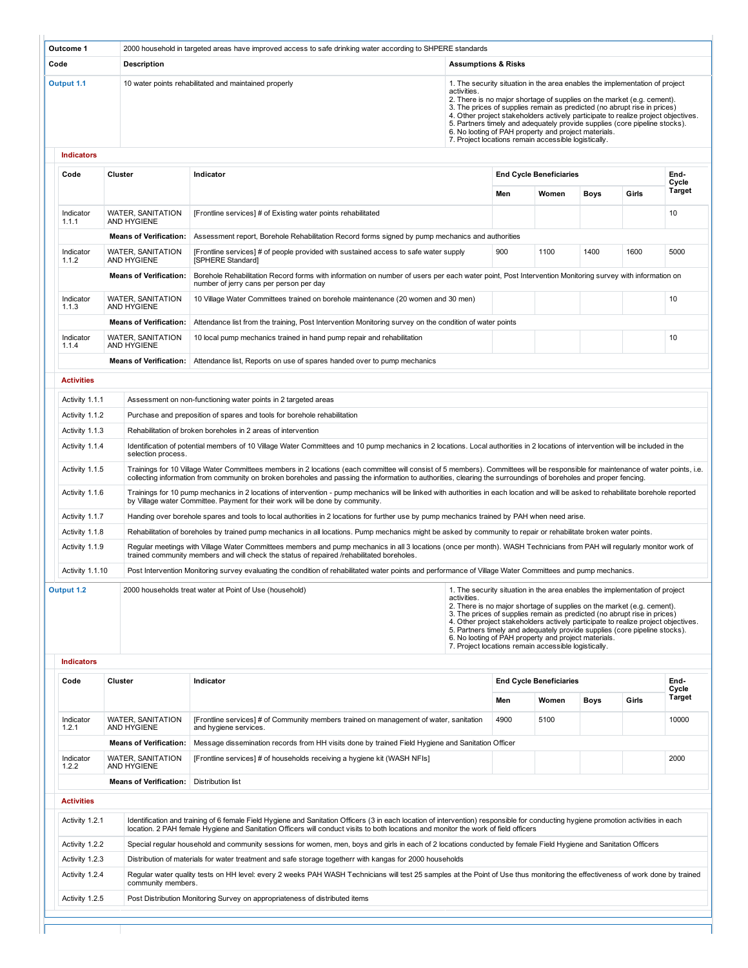|                                     |                                                                   | 2000 household in targeted areas have improved access to safe drinking water according to SHPERE standards                                                                                                                                                                                                                                            |                                |      |                                                                                                              |                                                                                                                                                                                                                                                                                                                                                                                                      |       |                                          |
|-------------------------------------|-------------------------------------------------------------------|-------------------------------------------------------------------------------------------------------------------------------------------------------------------------------------------------------------------------------------------------------------------------------------------------------------------------------------------------------|--------------------------------|------|--------------------------------------------------------------------------------------------------------------|------------------------------------------------------------------------------------------------------------------------------------------------------------------------------------------------------------------------------------------------------------------------------------------------------------------------------------------------------------------------------------------------------|-------|------------------------------------------|
| Code                                | Description                                                       |                                                                                                                                                                                                                                                                                                                                                       | <b>Assumptions &amp; Risks</b> |      |                                                                                                              |                                                                                                                                                                                                                                                                                                                                                                                                      |       |                                          |
| Output 1.1                          |                                                                   | 10 water points rehabilitated and maintained properly                                                                                                                                                                                                                                                                                                 | activities.                    |      | 6. No looting of PAH property and project materials.<br>7. Project locations remain accessible logistically. | 1. The security situation in the area enables the implementation of project<br>2. There is no major shortage of supplies on the market (e.g. cement).<br>3. The prices of supplies remain as predicted (no abrupt rise in prices)<br>4. Other project stakeholders actively participate to realize project objectives.<br>5. Partners timely and adequately provide supplies (core pipeline stocks). |       |                                          |
| <b>Indicators</b><br>Code           | Cluster                                                           | Indicator                                                                                                                                                                                                                                                                                                                                             |                                |      | <b>End Cycle Beneficiaries</b>                                                                               |                                                                                                                                                                                                                                                                                                                                                                                                      |       | End-                                     |
|                                     |                                                                   |                                                                                                                                                                                                                                                                                                                                                       |                                | Men  | Women                                                                                                        | <b>Boys</b>                                                                                                                                                                                                                                                                                                                                                                                          | Girls | Cycle<br>Target                          |
| Indicator<br>1.1.1                  | WATER, SANITATION<br>AND HYGIENE                                  | [Frontline services] # of Existing water points rehabilitated                                                                                                                                                                                                                                                                                         |                                |      |                                                                                                              |                                                                                                                                                                                                                                                                                                                                                                                                      |       | 10                                       |
|                                     | <b>Means of Verification:</b>                                     | Assessment report, Borehole Rehabilitation Record forms signed by pump mechanics and authorities                                                                                                                                                                                                                                                      |                                |      |                                                                                                              |                                                                                                                                                                                                                                                                                                                                                                                                      |       |                                          |
| Indicator<br>1.1.2                  | <b>WATER, SANITATION</b><br>AND HYGIENE                           | [Frontline services] # of people provided with sustained access to safe water supply<br>[SPHERE Standard]                                                                                                                                                                                                                                             |                                | 900  | 1100                                                                                                         | 1400                                                                                                                                                                                                                                                                                                                                                                                                 | 1600  | 5000                                     |
|                                     | <b>Means of Verification:</b>                                     | Borehole Rehabilitation Record forms with information on number of users per each water point, Post Intervention Monitoring survey with information on<br>number of jerry cans per person per day                                                                                                                                                     |                                |      |                                                                                                              |                                                                                                                                                                                                                                                                                                                                                                                                      |       |                                          |
| Indicator<br>1.1.3                  | WATER, SANITATION<br>AND HYGIENE                                  | 10 Village Water Committees trained on borehole maintenance (20 women and 30 men)                                                                                                                                                                                                                                                                     |                                |      |                                                                                                              |                                                                                                                                                                                                                                                                                                                                                                                                      |       | 10                                       |
|                                     | <b>Means of Verification:</b>                                     | Attendance list from the training, Post Intervention Monitoring survey on the condition of water points                                                                                                                                                                                                                                               |                                |      |                                                                                                              |                                                                                                                                                                                                                                                                                                                                                                                                      |       |                                          |
| Indicator<br>1.1.4                  | <b>WATER, SANITATION</b><br>AND HYGIENE                           | 10 local pump mechanics trained in hand pump repair and rehabilitation                                                                                                                                                                                                                                                                                |                                |      |                                                                                                              |                                                                                                                                                                                                                                                                                                                                                                                                      |       | 10                                       |
|                                     | <b>Means of Verification:</b>                                     | Attendance list, Reports on use of spares handed over to pump mechanics                                                                                                                                                                                                                                                                               |                                |      |                                                                                                              |                                                                                                                                                                                                                                                                                                                                                                                                      |       |                                          |
| <b>Activities</b>                   |                                                                   |                                                                                                                                                                                                                                                                                                                                                       |                                |      |                                                                                                              |                                                                                                                                                                                                                                                                                                                                                                                                      |       |                                          |
| Activity 1.1.1                      |                                                                   | Assessment on non-functioning water points in 2 targeted areas                                                                                                                                                                                                                                                                                        |                                |      |                                                                                                              |                                                                                                                                                                                                                                                                                                                                                                                                      |       |                                          |
| Activity 1.1.2                      |                                                                   | Purchase and preposition of spares and tools for borehole rehabilitation                                                                                                                                                                                                                                                                              |                                |      |                                                                                                              |                                                                                                                                                                                                                                                                                                                                                                                                      |       |                                          |
| Activity 1.1.3                      |                                                                   | Rehabilitation of broken boreholes in 2 areas of intervention                                                                                                                                                                                                                                                                                         |                                |      |                                                                                                              |                                                                                                                                                                                                                                                                                                                                                                                                      |       |                                          |
| Activity 1.1.4                      | selection process.                                                | Identification of potential members of 10 Village Water Committees and 10 pump mechanics in 2 locations. Local authorities in 2 locations of intervention will be included in the                                                                                                                                                                     |                                |      |                                                                                                              |                                                                                                                                                                                                                                                                                                                                                                                                      |       |                                          |
| Activity 1.1.5                      |                                                                   | Trainings for 10 Village Water Committees members in 2 locations (each committee will consist of 5 members). Committees will be responsible for maintenance of water points, i.e.<br>collecting information from community on broken boreholes and passing the information to authorities, clearing the surroundings of boreholes and proper fencing. |                                |      |                                                                                                              |                                                                                                                                                                                                                                                                                                                                                                                                      |       |                                          |
| Activity 1.1.6                      |                                                                   | Trainings for 10 pump mechanics in 2 locations of intervention - pump mechanics will be linked with authorities in each location and will be asked to rehabilitate borehole reported                                                                                                                                                                  |                                |      |                                                                                                              |                                                                                                                                                                                                                                                                                                                                                                                                      |       |                                          |
|                                     |                                                                   | by Village water Committee. Payment for their work will be done by community.                                                                                                                                                                                                                                                                         |                                |      |                                                                                                              |                                                                                                                                                                                                                                                                                                                                                                                                      |       |                                          |
| Activity 1.1.7                      |                                                                   | Handing over borehole spares and tools to local authorities in 2 locations for further use by pump mechanics trained by PAH when need arise.                                                                                                                                                                                                          |                                |      |                                                                                                              |                                                                                                                                                                                                                                                                                                                                                                                                      |       |                                          |
| Activity 1.1.8                      |                                                                   | Rehabilitation of boreholes by trained pump mechanics in all locations. Pump mechanics might be asked by community to repair or rehabilitate broken water points.                                                                                                                                                                                     |                                |      |                                                                                                              |                                                                                                                                                                                                                                                                                                                                                                                                      |       |                                          |
| Activity 1.1.9                      |                                                                   | Regular meetings with Village Water Committees members and pump mechanics in all 3 locations (once per month). WASH Technicians from PAH will regularly monitor work of<br>trained community members and will check the status of repaired /rehabilitated boreholes.                                                                                  |                                |      |                                                                                                              |                                                                                                                                                                                                                                                                                                                                                                                                      |       |                                          |
| Activity 1.1.10                     |                                                                   | Post Intervention Monitoring survey evaluating the condition of rehabilitated water points and performance of Village Water Committees and pump mechanics.                                                                                                                                                                                            |                                |      |                                                                                                              |                                                                                                                                                                                                                                                                                                                                                                                                      |       |                                          |
| Output 1.2                          |                                                                   | 2000 households treat water at Point of Use (household)                                                                                                                                                                                                                                                                                               | activities.                    |      | 6. No looting of PAH property and project materials.<br>7. Project locations remain accessible logistically. | 1. The security situation in the area enables the implementation of project<br>2. There is no major shortage of supplies on the market (e.g. cement).<br>3. The prices of supplies remain as predicted (no abrupt rise in prices)<br>4. Other project stakeholders actively participate to realize project objectives.<br>5. Partners timely and adequately provide supplies (core pipeline stocks). |       |                                          |
|                                     |                                                                   |                                                                                                                                                                                                                                                                                                                                                       |                                |      |                                                                                                              |                                                                                                                                                                                                                                                                                                                                                                                                      |       |                                          |
| <b>Indicators</b><br>Code           | Cluster                                                           | Indicator                                                                                                                                                                                                                                                                                                                                             |                                |      | <b>End Cycle Beneficiaries</b>                                                                               |                                                                                                                                                                                                                                                                                                                                                                                                      |       |                                          |
|                                     |                                                                   |                                                                                                                                                                                                                                                                                                                                                       |                                | Men  | Women                                                                                                        | <b>Boys</b>                                                                                                                                                                                                                                                                                                                                                                                          | Girls |                                          |
| Indicator                           | <b>WATER, SANITATION</b><br>AND HYGIENE                           | [Frontline services] # of Community members trained on management of water, sanitation<br>and hygiene services.                                                                                                                                                                                                                                       |                                | 4900 | 5100                                                                                                         |                                                                                                                                                                                                                                                                                                                                                                                                      |       |                                          |
| Indicator                           | <b>Means of Verification:</b>                                     | Message dissemination records from HH visits done by trained Field Hygiene and Sanitation Officer                                                                                                                                                                                                                                                     |                                |      |                                                                                                              |                                                                                                                                                                                                                                                                                                                                                                                                      |       | End-<br>Cycle<br>Target<br>10000<br>2000 |
| 1.2.1<br>1.2.2                      | WATER, SANITATION<br>AND HYGIENE<br><b>Means of Verification:</b> | [Frontline services] # of households receiving a hygiene kit (WASH NFIs]<br>Distribution list                                                                                                                                                                                                                                                         |                                |      |                                                                                                              |                                                                                                                                                                                                                                                                                                                                                                                                      |       |                                          |
|                                     |                                                                   |                                                                                                                                                                                                                                                                                                                                                       |                                |      |                                                                                                              |                                                                                                                                                                                                                                                                                                                                                                                                      |       |                                          |
| <b>Activities</b><br>Activity 1.2.1 |                                                                   | Identification and training of 6 female Field Hygiene and Sanitation Officers (3 in each location of intervention) responsible for conducting hygiene promotion activities in each                                                                                                                                                                    |                                |      |                                                                                                              |                                                                                                                                                                                                                                                                                                                                                                                                      |       |                                          |
|                                     |                                                                   | location. 2 PAH female Hygiene and Sanitation Officers will conduct visits to both locations and monitor the work of field officers<br>Special regular household and community sessions for women, men, boys and girls in each of 2 locations conducted by female Field Hygiene and Sanitation Officers                                               |                                |      |                                                                                                              |                                                                                                                                                                                                                                                                                                                                                                                                      |       |                                          |
| Activity 1.2.2<br>Activity 1.2.3    |                                                                   | Distribution of materials for water treatment and safe storage togetherr with kangas for 2000 households                                                                                                                                                                                                                                              |                                |      |                                                                                                              |                                                                                                                                                                                                                                                                                                                                                                                                      |       |                                          |
| Activity 1.2.4                      | community members.                                                | Regular water quality tests on HH level: every 2 weeks PAH WASH Technicians will test 25 samples at the Point of Use thus monitoring the effectiveness of work done by trained                                                                                                                                                                        |                                |      |                                                                                                              |                                                                                                                                                                                                                                                                                                                                                                                                      |       |                                          |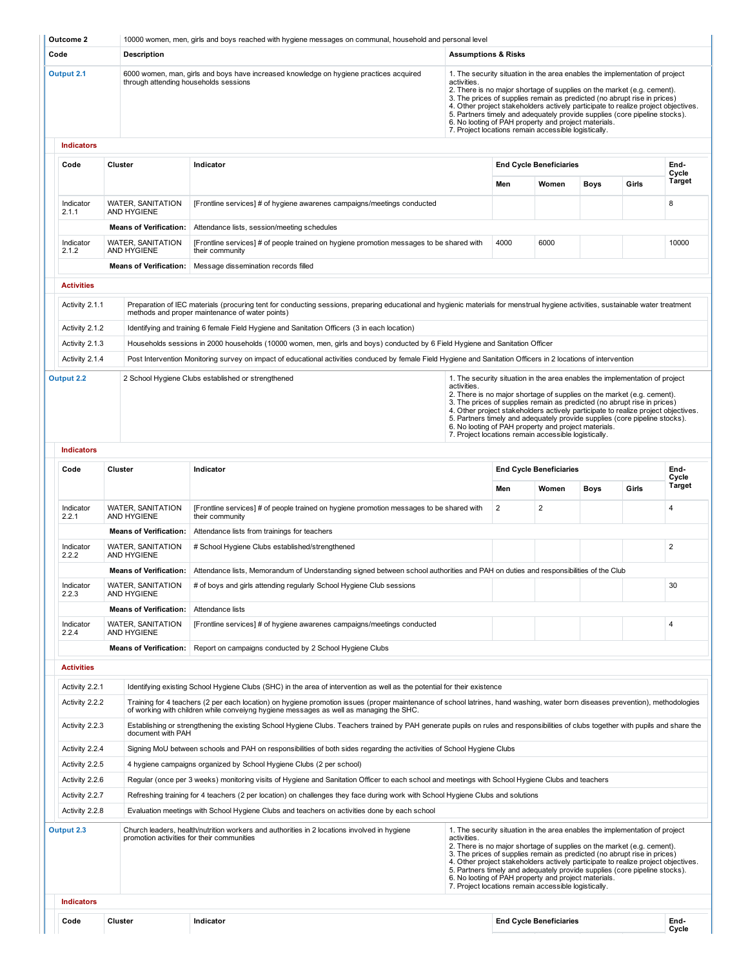| Code<br><b>Description</b><br><b>Assumptions &amp; Risks</b><br>Output 2.1<br>6000 women, man, girls and boys have increased knowledge on hygiene practices acquired<br>1. The security situation in the area enables the implementation of project<br>through attending households sessions<br>activities.<br>2. There is no major shortage of supplies on the market (e.g. cement).<br>3. The prices of supplies remain as predicted (no abrupt rise in prices)<br>4. Other project stakeholders actively participate to realize project objectives.<br>5. Partners timely and adequately provide supplies (core pipeline stocks).<br>6. No looting of PAH property and project materials.<br>7. Project locations remain accessible logistically.<br><b>Indicators</b><br>Code<br>Cluster<br>Indicator<br>Men<br>Indicator<br><b>WATER, SANITATION</b><br>[Frontline services] # of hygiene awarenes campaigns/meetings conducted<br>2.1.1<br>AND HYGIENE<br><b>Means of Verification:</b><br>Attendance lists, session/meeting schedules<br>Indicator<br>WATER, SANITATION<br>[Frontline services] # of people trained on hygiene promotion messages to be shared with<br>4000<br>2.1.2<br>AND HYGIENE<br>their community<br><b>Means of Verification:</b><br>Message dissemination records filled<br><b>Activities</b><br>Activity 2.1.1<br>Preparation of IEC materials (procuring tent for conducting sessions, preparing educational and hygienic materials for menstrual hygiene activities, sustainable water treatment<br>methods and proper maintenance of water points)<br>Identifying and training 6 female Field Hygiene and Sanitation Officers (3 in each location)<br>Activity 2.1.2<br>Activity 2.1.3<br>Households sessions in 2000 households (10000 women, men, girls and boys) conducted by 6 Field Hygiene and Sanitation Officer<br>Activity 2.1.4<br>Post Intervention Monitoring survey on impact of educational activities conduced by female Field Hygiene and Sanitation Officers in 2 locations of intervention<br>Output 2.2<br>2 School Hygiene Clubs established or strengthened<br>1. The security situation in the area enables the implementation of project<br>activities.<br>2. There is no major shortage of supplies on the market (e.g. cement).<br>3. The prices of supplies remain as predicted (no abrupt rise in prices)<br>4. Other project stakeholders actively participate to realize project objectives.<br>5. Partners timely and adequately provide supplies (core pipeline stocks).<br>6. No looting of PAH property and project materials.<br>7. Project locations remain accessible logistically.<br><b>Indicators</b><br>Code<br>Indicator<br>Cluster<br>Men<br><b>WATER, SANITATION</b><br>$\overline{2}$<br>Indicator<br>[Frontline services] # of people trained on hygiene promotion messages to be shared with<br>2.2.1<br><b>AND HYGIENE</b><br>their community<br><b>Means of Verification:</b><br>Attendance lists from trainings for teachers<br>Indicator<br><b>WATER, SANITATION</b><br># School Hygiene Clubs established/strengthened<br>2.2.2<br>AND HYGIENE<br>Means of Verification: Attendance lists, Memorandum of Understanding signed between school authorities and PAH on duties and responsibilities of the Club<br>WATER, SANITATION<br># of boys and girls attending regularly School Hygiene Club sessions<br>Indicator<br>AND HYGIENE<br>2.2.3<br><b>Means of Verification:</b><br>Attendance lists<br>Indicator<br>WATER, SANITATION<br>[Frontline services] # of hygiene awarenes campaigns/meetings conducted<br>2.2.4<br>AND HYGIENE<br><b>Means of Verification:</b><br>Report on campaigns conducted by 2 School Hygiene Clubs<br><b>Activities</b><br>Activity 2.2.1<br>Identifying existing School Hygiene Clubs (SHC) in the area of intervention as well as the potential for their existence<br>Training for 4 teachers (2 per each location) on hygiene promotion issues (proper maintenance of school latrines, hand washing, water born diseases prevention), methodologies<br>Activity 2.2.2<br>of working with children while conveiyng hygiene messages as well as managing the SHC.<br>Establishing or strengthening the existing School Hygiene Clubs. Teachers trained by PAH generate pupils on rules and responsibilities of clubs together with pupils and share the<br>Activity 2.2.3<br>document with PAH<br>Activity 2.2.4<br>Signing MoU between schools and PAH on responsibilities of both sides regarding the activities of School Hygiene Clubs<br>Activity 2.2.5<br>4 hygiene campaigns organized by School Hygiene Clubs (2 per school)<br>Activity 2.2.6<br>Regular (once per 3 weeks) monitoring visits of Hygiene and Sanitation Officer to each school and meetings with School Hygiene Clubs and teachers<br>Activity 2.2.7<br>Refreshing training for 4 teachers (2 per location) on challenges they face during work with School Hygiene Clubs and solutions<br>Activity 2.2.8<br>Evaluation meetings with School Hygiene Clubs and teachers on activities done by each school<br>Output 2.3<br>1. The security situation in the area enables the implementation of project<br>Church leaders, health/nutrition workers and authorities in 2 locations involved in hygiene<br>activities.<br>promotion activities for their communities<br>2. There is no major shortage of supplies on the market (e.g. cement).<br>3. The prices of supplies remain as predicted (no abrupt rise in prices)<br>4. Other project stakeholders actively participate to realize project objectives.<br>5. Partners timely and adequately provide supplies (core pipeline stocks).<br>6. No looting of PAH property and project materials.<br>7. Project locations remain accessible logistically.<br><b>Indicators</b> | Outcome 2 | 10000 women, men, girls and boys reached with hygiene messages on communal, household and personal level |  |                                |      |       |                        |
|-----------------------------------------------------------------------------------------------------------------------------------------------------------------------------------------------------------------------------------------------------------------------------------------------------------------------------------------------------------------------------------------------------------------------------------------------------------------------------------------------------------------------------------------------------------------------------------------------------------------------------------------------------------------------------------------------------------------------------------------------------------------------------------------------------------------------------------------------------------------------------------------------------------------------------------------------------------------------------------------------------------------------------------------------------------------------------------------------------------------------------------------------------------------------------------------------------------------------------------------------------------------------------------------------------------------------------------------------------------------------------------------------------------------------------------------------------------------------------------------------------------------------------------------------------------------------------------------------------------------------------------------------------------------------------------------------------------------------------------------------------------------------------------------------------------------------------------------------------------------------------------------------------------------------------------------------------------------------------------------------------------------------------------------------------------------------------------------------------------------------------------------------------------------------------------------------------------------------------------------------------------------------------------------------------------------------------------------------------------------------------------------------------------------------------------------------------------------------------------------------------------------------------------------------------------------------------------------------------------------------------------------------------------------------------------------------------------------------------------------------------------------------------------------------------------------------------------------------------------------------------------------------------------------------------------------------------------------------------------------------------------------------------------------------------------------------------------------------------------------------------------------------------------------------------------------------------------------------------------------------------------------------------------------------------------------------------------------------------------------------------------------------------------------------------------------------------------------------------------------------------------------------------------------------------------------------------------------------------------------------------------------------------------------------------------------------------------------------------------------------------------------------------------------------------------------------------------------------------------------------------------------------------------------------------------------------------------------------------------------------------------------------------------------------------------------------------------------------------------------------------------------------------------------------------------------------------------------------------------------------------------------------------------------------------------------------------------------------------------------------------------------------------------------------------------------------------------------------------------------------------------------------------------------------------------------------------------------------------------------------------------------------------------------------------------------------------------------------------------------------------------------------------------------------------------------------------------------------------------------------------------------------------------------------------------------------------------------------------------------------------------------------------------------------------------------------------------------------------------------------------------------------------------------------------------------------------------------------------------------------------------------------------------------------------------------------------------------------------------------------------------------------------------------------------------------------------------------------------------------------------------------------------------------------------------------------------------------------------------------------------------------------------------------------------------------------------------------------------------------------------------------------------------------------------------------------------------|-----------|----------------------------------------------------------------------------------------------------------|--|--------------------------------|------|-------|------------------------|
|                                                                                                                                                                                                                                                                                                                                                                                                                                                                                                                                                                                                                                                                                                                                                                                                                                                                                                                                                                                                                                                                                                                                                                                                                                                                                                                                                                                                                                                                                                                                                                                                                                                                                                                                                                                                                                                                                                                                                                                                                                                                                                                                                                                                                                                                                                                                                                                                                                                                                                                                                                                                                                                                                                                                                                                                                                                                                                                                                                                                                                                                                                                                                                                                                                                                                                                                                                                                                                                                                                                                                                                                                                                                                                                                                                                                                                                                                                                                                                                                                                                                                                                                                                                                                                                                                                                                                                                                                                                                                                                                                                                                                                                                                                                                                                                                                                                                                                                                                                                                                                                                                                                                                                                                                                                                                                                                                                                                                                                                                                                                                                                                                                                                                                                                                                                                                                   |           |                                                                                                          |  |                                |      |       |                        |
|                                                                                                                                                                                                                                                                                                                                                                                                                                                                                                                                                                                                                                                                                                                                                                                                                                                                                                                                                                                                                                                                                                                                                                                                                                                                                                                                                                                                                                                                                                                                                                                                                                                                                                                                                                                                                                                                                                                                                                                                                                                                                                                                                                                                                                                                                                                                                                                                                                                                                                                                                                                                                                                                                                                                                                                                                                                                                                                                                                                                                                                                                                                                                                                                                                                                                                                                                                                                                                                                                                                                                                                                                                                                                                                                                                                                                                                                                                                                                                                                                                                                                                                                                                                                                                                                                                                                                                                                                                                                                                                                                                                                                                                                                                                                                                                                                                                                                                                                                                                                                                                                                                                                                                                                                                                                                                                                                                                                                                                                                                                                                                                                                                                                                                                                                                                                                                   |           |                                                                                                          |  |                                |      |       |                        |
|                                                                                                                                                                                                                                                                                                                                                                                                                                                                                                                                                                                                                                                                                                                                                                                                                                                                                                                                                                                                                                                                                                                                                                                                                                                                                                                                                                                                                                                                                                                                                                                                                                                                                                                                                                                                                                                                                                                                                                                                                                                                                                                                                                                                                                                                                                                                                                                                                                                                                                                                                                                                                                                                                                                                                                                                                                                                                                                                                                                                                                                                                                                                                                                                                                                                                                                                                                                                                                                                                                                                                                                                                                                                                                                                                                                                                                                                                                                                                                                                                                                                                                                                                                                                                                                                                                                                                                                                                                                                                                                                                                                                                                                                                                                                                                                                                                                                                                                                                                                                                                                                                                                                                                                                                                                                                                                                                                                                                                                                                                                                                                                                                                                                                                                                                                                                                                   |           |                                                                                                          |  |                                |      |       |                        |
|                                                                                                                                                                                                                                                                                                                                                                                                                                                                                                                                                                                                                                                                                                                                                                                                                                                                                                                                                                                                                                                                                                                                                                                                                                                                                                                                                                                                                                                                                                                                                                                                                                                                                                                                                                                                                                                                                                                                                                                                                                                                                                                                                                                                                                                                                                                                                                                                                                                                                                                                                                                                                                                                                                                                                                                                                                                                                                                                                                                                                                                                                                                                                                                                                                                                                                                                                                                                                                                                                                                                                                                                                                                                                                                                                                                                                                                                                                                                                                                                                                                                                                                                                                                                                                                                                                                                                                                                                                                                                                                                                                                                                                                                                                                                                                                                                                                                                                                                                                                                                                                                                                                                                                                                                                                                                                                                                                                                                                                                                                                                                                                                                                                                                                                                                                                                                                   |           |                                                                                                          |  | <b>End Cycle Beneficiaries</b> |      |       | End-                   |
|                                                                                                                                                                                                                                                                                                                                                                                                                                                                                                                                                                                                                                                                                                                                                                                                                                                                                                                                                                                                                                                                                                                                                                                                                                                                                                                                                                                                                                                                                                                                                                                                                                                                                                                                                                                                                                                                                                                                                                                                                                                                                                                                                                                                                                                                                                                                                                                                                                                                                                                                                                                                                                                                                                                                                                                                                                                                                                                                                                                                                                                                                                                                                                                                                                                                                                                                                                                                                                                                                                                                                                                                                                                                                                                                                                                                                                                                                                                                                                                                                                                                                                                                                                                                                                                                                                                                                                                                                                                                                                                                                                                                                                                                                                                                                                                                                                                                                                                                                                                                                                                                                                                                                                                                                                                                                                                                                                                                                                                                                                                                                                                                                                                                                                                                                                                                                                   |           |                                                                                                          |  | Women                          | Boys | Girls | Cycle<br><b>Target</b> |
|                                                                                                                                                                                                                                                                                                                                                                                                                                                                                                                                                                                                                                                                                                                                                                                                                                                                                                                                                                                                                                                                                                                                                                                                                                                                                                                                                                                                                                                                                                                                                                                                                                                                                                                                                                                                                                                                                                                                                                                                                                                                                                                                                                                                                                                                                                                                                                                                                                                                                                                                                                                                                                                                                                                                                                                                                                                                                                                                                                                                                                                                                                                                                                                                                                                                                                                                                                                                                                                                                                                                                                                                                                                                                                                                                                                                                                                                                                                                                                                                                                                                                                                                                                                                                                                                                                                                                                                                                                                                                                                                                                                                                                                                                                                                                                                                                                                                                                                                                                                                                                                                                                                                                                                                                                                                                                                                                                                                                                                                                                                                                                                                                                                                                                                                                                                                                                   |           |                                                                                                          |  |                                |      |       |                        |
|                                                                                                                                                                                                                                                                                                                                                                                                                                                                                                                                                                                                                                                                                                                                                                                                                                                                                                                                                                                                                                                                                                                                                                                                                                                                                                                                                                                                                                                                                                                                                                                                                                                                                                                                                                                                                                                                                                                                                                                                                                                                                                                                                                                                                                                                                                                                                                                                                                                                                                                                                                                                                                                                                                                                                                                                                                                                                                                                                                                                                                                                                                                                                                                                                                                                                                                                                                                                                                                                                                                                                                                                                                                                                                                                                                                                                                                                                                                                                                                                                                                                                                                                                                                                                                                                                                                                                                                                                                                                                                                                                                                                                                                                                                                                                                                                                                                                                                                                                                                                                                                                                                                                                                                                                                                                                                                                                                                                                                                                                                                                                                                                                                                                                                                                                                                                                                   |           |                                                                                                          |  |                                |      |       | 8                      |
|                                                                                                                                                                                                                                                                                                                                                                                                                                                                                                                                                                                                                                                                                                                                                                                                                                                                                                                                                                                                                                                                                                                                                                                                                                                                                                                                                                                                                                                                                                                                                                                                                                                                                                                                                                                                                                                                                                                                                                                                                                                                                                                                                                                                                                                                                                                                                                                                                                                                                                                                                                                                                                                                                                                                                                                                                                                                                                                                                                                                                                                                                                                                                                                                                                                                                                                                                                                                                                                                                                                                                                                                                                                                                                                                                                                                                                                                                                                                                                                                                                                                                                                                                                                                                                                                                                                                                                                                                                                                                                                                                                                                                                                                                                                                                                                                                                                                                                                                                                                                                                                                                                                                                                                                                                                                                                                                                                                                                                                                                                                                                                                                                                                                                                                                                                                                                                   |           |                                                                                                          |  |                                |      |       |                        |
|                                                                                                                                                                                                                                                                                                                                                                                                                                                                                                                                                                                                                                                                                                                                                                                                                                                                                                                                                                                                                                                                                                                                                                                                                                                                                                                                                                                                                                                                                                                                                                                                                                                                                                                                                                                                                                                                                                                                                                                                                                                                                                                                                                                                                                                                                                                                                                                                                                                                                                                                                                                                                                                                                                                                                                                                                                                                                                                                                                                                                                                                                                                                                                                                                                                                                                                                                                                                                                                                                                                                                                                                                                                                                                                                                                                                                                                                                                                                                                                                                                                                                                                                                                                                                                                                                                                                                                                                                                                                                                                                                                                                                                                                                                                                                                                                                                                                                                                                                                                                                                                                                                                                                                                                                                                                                                                                                                                                                                                                                                                                                                                                                                                                                                                                                                                                                                   |           |                                                                                                          |  | 6000                           |      |       | 10000                  |
|                                                                                                                                                                                                                                                                                                                                                                                                                                                                                                                                                                                                                                                                                                                                                                                                                                                                                                                                                                                                                                                                                                                                                                                                                                                                                                                                                                                                                                                                                                                                                                                                                                                                                                                                                                                                                                                                                                                                                                                                                                                                                                                                                                                                                                                                                                                                                                                                                                                                                                                                                                                                                                                                                                                                                                                                                                                                                                                                                                                                                                                                                                                                                                                                                                                                                                                                                                                                                                                                                                                                                                                                                                                                                                                                                                                                                                                                                                                                                                                                                                                                                                                                                                                                                                                                                                                                                                                                                                                                                                                                                                                                                                                                                                                                                                                                                                                                                                                                                                                                                                                                                                                                                                                                                                                                                                                                                                                                                                                                                                                                                                                                                                                                                                                                                                                                                                   |           |                                                                                                          |  |                                |      |       |                        |
|                                                                                                                                                                                                                                                                                                                                                                                                                                                                                                                                                                                                                                                                                                                                                                                                                                                                                                                                                                                                                                                                                                                                                                                                                                                                                                                                                                                                                                                                                                                                                                                                                                                                                                                                                                                                                                                                                                                                                                                                                                                                                                                                                                                                                                                                                                                                                                                                                                                                                                                                                                                                                                                                                                                                                                                                                                                                                                                                                                                                                                                                                                                                                                                                                                                                                                                                                                                                                                                                                                                                                                                                                                                                                                                                                                                                                                                                                                                                                                                                                                                                                                                                                                                                                                                                                                                                                                                                                                                                                                                                                                                                                                                                                                                                                                                                                                                                                                                                                                                                                                                                                                                                                                                                                                                                                                                                                                                                                                                                                                                                                                                                                                                                                                                                                                                                                                   |           |                                                                                                          |  |                                |      |       |                        |
|                                                                                                                                                                                                                                                                                                                                                                                                                                                                                                                                                                                                                                                                                                                                                                                                                                                                                                                                                                                                                                                                                                                                                                                                                                                                                                                                                                                                                                                                                                                                                                                                                                                                                                                                                                                                                                                                                                                                                                                                                                                                                                                                                                                                                                                                                                                                                                                                                                                                                                                                                                                                                                                                                                                                                                                                                                                                                                                                                                                                                                                                                                                                                                                                                                                                                                                                                                                                                                                                                                                                                                                                                                                                                                                                                                                                                                                                                                                                                                                                                                                                                                                                                                                                                                                                                                                                                                                                                                                                                                                                                                                                                                                                                                                                                                                                                                                                                                                                                                                                                                                                                                                                                                                                                                                                                                                                                                                                                                                                                                                                                                                                                                                                                                                                                                                                                                   |           |                                                                                                          |  |                                |      |       |                        |
|                                                                                                                                                                                                                                                                                                                                                                                                                                                                                                                                                                                                                                                                                                                                                                                                                                                                                                                                                                                                                                                                                                                                                                                                                                                                                                                                                                                                                                                                                                                                                                                                                                                                                                                                                                                                                                                                                                                                                                                                                                                                                                                                                                                                                                                                                                                                                                                                                                                                                                                                                                                                                                                                                                                                                                                                                                                                                                                                                                                                                                                                                                                                                                                                                                                                                                                                                                                                                                                                                                                                                                                                                                                                                                                                                                                                                                                                                                                                                                                                                                                                                                                                                                                                                                                                                                                                                                                                                                                                                                                                                                                                                                                                                                                                                                                                                                                                                                                                                                                                                                                                                                                                                                                                                                                                                                                                                                                                                                                                                                                                                                                                                                                                                                                                                                                                                                   |           |                                                                                                          |  |                                |      |       |                        |
|                                                                                                                                                                                                                                                                                                                                                                                                                                                                                                                                                                                                                                                                                                                                                                                                                                                                                                                                                                                                                                                                                                                                                                                                                                                                                                                                                                                                                                                                                                                                                                                                                                                                                                                                                                                                                                                                                                                                                                                                                                                                                                                                                                                                                                                                                                                                                                                                                                                                                                                                                                                                                                                                                                                                                                                                                                                                                                                                                                                                                                                                                                                                                                                                                                                                                                                                                                                                                                                                                                                                                                                                                                                                                                                                                                                                                                                                                                                                                                                                                                                                                                                                                                                                                                                                                                                                                                                                                                                                                                                                                                                                                                                                                                                                                                                                                                                                                                                                                                                                                                                                                                                                                                                                                                                                                                                                                                                                                                                                                                                                                                                                                                                                                                                                                                                                                                   |           |                                                                                                          |  |                                |      |       |                        |
|                                                                                                                                                                                                                                                                                                                                                                                                                                                                                                                                                                                                                                                                                                                                                                                                                                                                                                                                                                                                                                                                                                                                                                                                                                                                                                                                                                                                                                                                                                                                                                                                                                                                                                                                                                                                                                                                                                                                                                                                                                                                                                                                                                                                                                                                                                                                                                                                                                                                                                                                                                                                                                                                                                                                                                                                                                                                                                                                                                                                                                                                                                                                                                                                                                                                                                                                                                                                                                                                                                                                                                                                                                                                                                                                                                                                                                                                                                                                                                                                                                                                                                                                                                                                                                                                                                                                                                                                                                                                                                                                                                                                                                                                                                                                                                                                                                                                                                                                                                                                                                                                                                                                                                                                                                                                                                                                                                                                                                                                                                                                                                                                                                                                                                                                                                                                                                   |           |                                                                                                          |  |                                |      |       |                        |
|                                                                                                                                                                                                                                                                                                                                                                                                                                                                                                                                                                                                                                                                                                                                                                                                                                                                                                                                                                                                                                                                                                                                                                                                                                                                                                                                                                                                                                                                                                                                                                                                                                                                                                                                                                                                                                                                                                                                                                                                                                                                                                                                                                                                                                                                                                                                                                                                                                                                                                                                                                                                                                                                                                                                                                                                                                                                                                                                                                                                                                                                                                                                                                                                                                                                                                                                                                                                                                                                                                                                                                                                                                                                                                                                                                                                                                                                                                                                                                                                                                                                                                                                                                                                                                                                                                                                                                                                                                                                                                                                                                                                                                                                                                                                                                                                                                                                                                                                                                                                                                                                                                                                                                                                                                                                                                                                                                                                                                                                                                                                                                                                                                                                                                                                                                                                                                   |           |                                                                                                          |  |                                |      |       |                        |
|                                                                                                                                                                                                                                                                                                                                                                                                                                                                                                                                                                                                                                                                                                                                                                                                                                                                                                                                                                                                                                                                                                                                                                                                                                                                                                                                                                                                                                                                                                                                                                                                                                                                                                                                                                                                                                                                                                                                                                                                                                                                                                                                                                                                                                                                                                                                                                                                                                                                                                                                                                                                                                                                                                                                                                                                                                                                                                                                                                                                                                                                                                                                                                                                                                                                                                                                                                                                                                                                                                                                                                                                                                                                                                                                                                                                                                                                                                                                                                                                                                                                                                                                                                                                                                                                                                                                                                                                                                                                                                                                                                                                                                                                                                                                                                                                                                                                                                                                                                                                                                                                                                                                                                                                                                                                                                                                                                                                                                                                                                                                                                                                                                                                                                                                                                                                                                   |           |                                                                                                          |  | <b>End Cycle Beneficiaries</b> |      |       | End-<br>Cycle          |
|                                                                                                                                                                                                                                                                                                                                                                                                                                                                                                                                                                                                                                                                                                                                                                                                                                                                                                                                                                                                                                                                                                                                                                                                                                                                                                                                                                                                                                                                                                                                                                                                                                                                                                                                                                                                                                                                                                                                                                                                                                                                                                                                                                                                                                                                                                                                                                                                                                                                                                                                                                                                                                                                                                                                                                                                                                                                                                                                                                                                                                                                                                                                                                                                                                                                                                                                                                                                                                                                                                                                                                                                                                                                                                                                                                                                                                                                                                                                                                                                                                                                                                                                                                                                                                                                                                                                                                                                                                                                                                                                                                                                                                                                                                                                                                                                                                                                                                                                                                                                                                                                                                                                                                                                                                                                                                                                                                                                                                                                                                                                                                                                                                                                                                                                                                                                                                   |           |                                                                                                          |  | Women                          | Boys | Girls | Target                 |
|                                                                                                                                                                                                                                                                                                                                                                                                                                                                                                                                                                                                                                                                                                                                                                                                                                                                                                                                                                                                                                                                                                                                                                                                                                                                                                                                                                                                                                                                                                                                                                                                                                                                                                                                                                                                                                                                                                                                                                                                                                                                                                                                                                                                                                                                                                                                                                                                                                                                                                                                                                                                                                                                                                                                                                                                                                                                                                                                                                                                                                                                                                                                                                                                                                                                                                                                                                                                                                                                                                                                                                                                                                                                                                                                                                                                                                                                                                                                                                                                                                                                                                                                                                                                                                                                                                                                                                                                                                                                                                                                                                                                                                                                                                                                                                                                                                                                                                                                                                                                                                                                                                                                                                                                                                                                                                                                                                                                                                                                                                                                                                                                                                                                                                                                                                                                                                   |           |                                                                                                          |  | $\overline{2}$                 |      |       | 4                      |
|                                                                                                                                                                                                                                                                                                                                                                                                                                                                                                                                                                                                                                                                                                                                                                                                                                                                                                                                                                                                                                                                                                                                                                                                                                                                                                                                                                                                                                                                                                                                                                                                                                                                                                                                                                                                                                                                                                                                                                                                                                                                                                                                                                                                                                                                                                                                                                                                                                                                                                                                                                                                                                                                                                                                                                                                                                                                                                                                                                                                                                                                                                                                                                                                                                                                                                                                                                                                                                                                                                                                                                                                                                                                                                                                                                                                                                                                                                                                                                                                                                                                                                                                                                                                                                                                                                                                                                                                                                                                                                                                                                                                                                                                                                                                                                                                                                                                                                                                                                                                                                                                                                                                                                                                                                                                                                                                                                                                                                                                                                                                                                                                                                                                                                                                                                                                                                   |           |                                                                                                          |  |                                |      |       |                        |
|                                                                                                                                                                                                                                                                                                                                                                                                                                                                                                                                                                                                                                                                                                                                                                                                                                                                                                                                                                                                                                                                                                                                                                                                                                                                                                                                                                                                                                                                                                                                                                                                                                                                                                                                                                                                                                                                                                                                                                                                                                                                                                                                                                                                                                                                                                                                                                                                                                                                                                                                                                                                                                                                                                                                                                                                                                                                                                                                                                                                                                                                                                                                                                                                                                                                                                                                                                                                                                                                                                                                                                                                                                                                                                                                                                                                                                                                                                                                                                                                                                                                                                                                                                                                                                                                                                                                                                                                                                                                                                                                                                                                                                                                                                                                                                                                                                                                                                                                                                                                                                                                                                                                                                                                                                                                                                                                                                                                                                                                                                                                                                                                                                                                                                                                                                                                                                   |           |                                                                                                          |  |                                |      |       | $\overline{2}$         |
|                                                                                                                                                                                                                                                                                                                                                                                                                                                                                                                                                                                                                                                                                                                                                                                                                                                                                                                                                                                                                                                                                                                                                                                                                                                                                                                                                                                                                                                                                                                                                                                                                                                                                                                                                                                                                                                                                                                                                                                                                                                                                                                                                                                                                                                                                                                                                                                                                                                                                                                                                                                                                                                                                                                                                                                                                                                                                                                                                                                                                                                                                                                                                                                                                                                                                                                                                                                                                                                                                                                                                                                                                                                                                                                                                                                                                                                                                                                                                                                                                                                                                                                                                                                                                                                                                                                                                                                                                                                                                                                                                                                                                                                                                                                                                                                                                                                                                                                                                                                                                                                                                                                                                                                                                                                                                                                                                                                                                                                                                                                                                                                                                                                                                                                                                                                                                                   |           |                                                                                                          |  |                                |      |       |                        |
|                                                                                                                                                                                                                                                                                                                                                                                                                                                                                                                                                                                                                                                                                                                                                                                                                                                                                                                                                                                                                                                                                                                                                                                                                                                                                                                                                                                                                                                                                                                                                                                                                                                                                                                                                                                                                                                                                                                                                                                                                                                                                                                                                                                                                                                                                                                                                                                                                                                                                                                                                                                                                                                                                                                                                                                                                                                                                                                                                                                                                                                                                                                                                                                                                                                                                                                                                                                                                                                                                                                                                                                                                                                                                                                                                                                                                                                                                                                                                                                                                                                                                                                                                                                                                                                                                                                                                                                                                                                                                                                                                                                                                                                                                                                                                                                                                                                                                                                                                                                                                                                                                                                                                                                                                                                                                                                                                                                                                                                                                                                                                                                                                                                                                                                                                                                                                                   |           |                                                                                                          |  |                                |      |       | 30                     |
|                                                                                                                                                                                                                                                                                                                                                                                                                                                                                                                                                                                                                                                                                                                                                                                                                                                                                                                                                                                                                                                                                                                                                                                                                                                                                                                                                                                                                                                                                                                                                                                                                                                                                                                                                                                                                                                                                                                                                                                                                                                                                                                                                                                                                                                                                                                                                                                                                                                                                                                                                                                                                                                                                                                                                                                                                                                                                                                                                                                                                                                                                                                                                                                                                                                                                                                                                                                                                                                                                                                                                                                                                                                                                                                                                                                                                                                                                                                                                                                                                                                                                                                                                                                                                                                                                                                                                                                                                                                                                                                                                                                                                                                                                                                                                                                                                                                                                                                                                                                                                                                                                                                                                                                                                                                                                                                                                                                                                                                                                                                                                                                                                                                                                                                                                                                                                                   |           |                                                                                                          |  |                                |      |       |                        |
|                                                                                                                                                                                                                                                                                                                                                                                                                                                                                                                                                                                                                                                                                                                                                                                                                                                                                                                                                                                                                                                                                                                                                                                                                                                                                                                                                                                                                                                                                                                                                                                                                                                                                                                                                                                                                                                                                                                                                                                                                                                                                                                                                                                                                                                                                                                                                                                                                                                                                                                                                                                                                                                                                                                                                                                                                                                                                                                                                                                                                                                                                                                                                                                                                                                                                                                                                                                                                                                                                                                                                                                                                                                                                                                                                                                                                                                                                                                                                                                                                                                                                                                                                                                                                                                                                                                                                                                                                                                                                                                                                                                                                                                                                                                                                                                                                                                                                                                                                                                                                                                                                                                                                                                                                                                                                                                                                                                                                                                                                                                                                                                                                                                                                                                                                                                                                                   |           |                                                                                                          |  |                                |      |       | 4                      |
|                                                                                                                                                                                                                                                                                                                                                                                                                                                                                                                                                                                                                                                                                                                                                                                                                                                                                                                                                                                                                                                                                                                                                                                                                                                                                                                                                                                                                                                                                                                                                                                                                                                                                                                                                                                                                                                                                                                                                                                                                                                                                                                                                                                                                                                                                                                                                                                                                                                                                                                                                                                                                                                                                                                                                                                                                                                                                                                                                                                                                                                                                                                                                                                                                                                                                                                                                                                                                                                                                                                                                                                                                                                                                                                                                                                                                                                                                                                                                                                                                                                                                                                                                                                                                                                                                                                                                                                                                                                                                                                                                                                                                                                                                                                                                                                                                                                                                                                                                                                                                                                                                                                                                                                                                                                                                                                                                                                                                                                                                                                                                                                                                                                                                                                                                                                                                                   |           |                                                                                                          |  |                                |      |       |                        |
|                                                                                                                                                                                                                                                                                                                                                                                                                                                                                                                                                                                                                                                                                                                                                                                                                                                                                                                                                                                                                                                                                                                                                                                                                                                                                                                                                                                                                                                                                                                                                                                                                                                                                                                                                                                                                                                                                                                                                                                                                                                                                                                                                                                                                                                                                                                                                                                                                                                                                                                                                                                                                                                                                                                                                                                                                                                                                                                                                                                                                                                                                                                                                                                                                                                                                                                                                                                                                                                                                                                                                                                                                                                                                                                                                                                                                                                                                                                                                                                                                                                                                                                                                                                                                                                                                                                                                                                                                                                                                                                                                                                                                                                                                                                                                                                                                                                                                                                                                                                                                                                                                                                                                                                                                                                                                                                                                                                                                                                                                                                                                                                                                                                                                                                                                                                                                                   |           |                                                                                                          |  |                                |      |       |                        |
|                                                                                                                                                                                                                                                                                                                                                                                                                                                                                                                                                                                                                                                                                                                                                                                                                                                                                                                                                                                                                                                                                                                                                                                                                                                                                                                                                                                                                                                                                                                                                                                                                                                                                                                                                                                                                                                                                                                                                                                                                                                                                                                                                                                                                                                                                                                                                                                                                                                                                                                                                                                                                                                                                                                                                                                                                                                                                                                                                                                                                                                                                                                                                                                                                                                                                                                                                                                                                                                                                                                                                                                                                                                                                                                                                                                                                                                                                                                                                                                                                                                                                                                                                                                                                                                                                                                                                                                                                                                                                                                                                                                                                                                                                                                                                                                                                                                                                                                                                                                                                                                                                                                                                                                                                                                                                                                                                                                                                                                                                                                                                                                                                                                                                                                                                                                                                                   |           |                                                                                                          |  |                                |      |       |                        |
|                                                                                                                                                                                                                                                                                                                                                                                                                                                                                                                                                                                                                                                                                                                                                                                                                                                                                                                                                                                                                                                                                                                                                                                                                                                                                                                                                                                                                                                                                                                                                                                                                                                                                                                                                                                                                                                                                                                                                                                                                                                                                                                                                                                                                                                                                                                                                                                                                                                                                                                                                                                                                                                                                                                                                                                                                                                                                                                                                                                                                                                                                                                                                                                                                                                                                                                                                                                                                                                                                                                                                                                                                                                                                                                                                                                                                                                                                                                                                                                                                                                                                                                                                                                                                                                                                                                                                                                                                                                                                                                                                                                                                                                                                                                                                                                                                                                                                                                                                                                                                                                                                                                                                                                                                                                                                                                                                                                                                                                                                                                                                                                                                                                                                                                                                                                                                                   |           |                                                                                                          |  |                                |      |       |                        |
|                                                                                                                                                                                                                                                                                                                                                                                                                                                                                                                                                                                                                                                                                                                                                                                                                                                                                                                                                                                                                                                                                                                                                                                                                                                                                                                                                                                                                                                                                                                                                                                                                                                                                                                                                                                                                                                                                                                                                                                                                                                                                                                                                                                                                                                                                                                                                                                                                                                                                                                                                                                                                                                                                                                                                                                                                                                                                                                                                                                                                                                                                                                                                                                                                                                                                                                                                                                                                                                                                                                                                                                                                                                                                                                                                                                                                                                                                                                                                                                                                                                                                                                                                                                                                                                                                                                                                                                                                                                                                                                                                                                                                                                                                                                                                                                                                                                                                                                                                                                                                                                                                                                                                                                                                                                                                                                                                                                                                                                                                                                                                                                                                                                                                                                                                                                                                                   |           |                                                                                                          |  |                                |      |       |                        |
|                                                                                                                                                                                                                                                                                                                                                                                                                                                                                                                                                                                                                                                                                                                                                                                                                                                                                                                                                                                                                                                                                                                                                                                                                                                                                                                                                                                                                                                                                                                                                                                                                                                                                                                                                                                                                                                                                                                                                                                                                                                                                                                                                                                                                                                                                                                                                                                                                                                                                                                                                                                                                                                                                                                                                                                                                                                                                                                                                                                                                                                                                                                                                                                                                                                                                                                                                                                                                                                                                                                                                                                                                                                                                                                                                                                                                                                                                                                                                                                                                                                                                                                                                                                                                                                                                                                                                                                                                                                                                                                                                                                                                                                                                                                                                                                                                                                                                                                                                                                                                                                                                                                                                                                                                                                                                                                                                                                                                                                                                                                                                                                                                                                                                                                                                                                                                                   |           |                                                                                                          |  |                                |      |       |                        |
|                                                                                                                                                                                                                                                                                                                                                                                                                                                                                                                                                                                                                                                                                                                                                                                                                                                                                                                                                                                                                                                                                                                                                                                                                                                                                                                                                                                                                                                                                                                                                                                                                                                                                                                                                                                                                                                                                                                                                                                                                                                                                                                                                                                                                                                                                                                                                                                                                                                                                                                                                                                                                                                                                                                                                                                                                                                                                                                                                                                                                                                                                                                                                                                                                                                                                                                                                                                                                                                                                                                                                                                                                                                                                                                                                                                                                                                                                                                                                                                                                                                                                                                                                                                                                                                                                                                                                                                                                                                                                                                                                                                                                                                                                                                                                                                                                                                                                                                                                                                                                                                                                                                                                                                                                                                                                                                                                                                                                                                                                                                                                                                                                                                                                                                                                                                                                                   |           |                                                                                                          |  |                                |      |       |                        |
|                                                                                                                                                                                                                                                                                                                                                                                                                                                                                                                                                                                                                                                                                                                                                                                                                                                                                                                                                                                                                                                                                                                                                                                                                                                                                                                                                                                                                                                                                                                                                                                                                                                                                                                                                                                                                                                                                                                                                                                                                                                                                                                                                                                                                                                                                                                                                                                                                                                                                                                                                                                                                                                                                                                                                                                                                                                                                                                                                                                                                                                                                                                                                                                                                                                                                                                                                                                                                                                                                                                                                                                                                                                                                                                                                                                                                                                                                                                                                                                                                                                                                                                                                                                                                                                                                                                                                                                                                                                                                                                                                                                                                                                                                                                                                                                                                                                                                                                                                                                                                                                                                                                                                                                                                                                                                                                                                                                                                                                                                                                                                                                                                                                                                                                                                                                                                                   |           |                                                                                                          |  |                                |      |       |                        |
|                                                                                                                                                                                                                                                                                                                                                                                                                                                                                                                                                                                                                                                                                                                                                                                                                                                                                                                                                                                                                                                                                                                                                                                                                                                                                                                                                                                                                                                                                                                                                                                                                                                                                                                                                                                                                                                                                                                                                                                                                                                                                                                                                                                                                                                                                                                                                                                                                                                                                                                                                                                                                                                                                                                                                                                                                                                                                                                                                                                                                                                                                                                                                                                                                                                                                                                                                                                                                                                                                                                                                                                                                                                                                                                                                                                                                                                                                                                                                                                                                                                                                                                                                                                                                                                                                                                                                                                                                                                                                                                                                                                                                                                                                                                                                                                                                                                                                                                                                                                                                                                                                                                                                                                                                                                                                                                                                                                                                                                                                                                                                                                                                                                                                                                                                                                                                                   |           |                                                                                                          |  |                                |      |       |                        |
|                                                                                                                                                                                                                                                                                                                                                                                                                                                                                                                                                                                                                                                                                                                                                                                                                                                                                                                                                                                                                                                                                                                                                                                                                                                                                                                                                                                                                                                                                                                                                                                                                                                                                                                                                                                                                                                                                                                                                                                                                                                                                                                                                                                                                                                                                                                                                                                                                                                                                                                                                                                                                                                                                                                                                                                                                                                                                                                                                                                                                                                                                                                                                                                                                                                                                                                                                                                                                                                                                                                                                                                                                                                                                                                                                                                                                                                                                                                                                                                                                                                                                                                                                                                                                                                                                                                                                                                                                                                                                                                                                                                                                                                                                                                                                                                                                                                                                                                                                                                                                                                                                                                                                                                                                                                                                                                                                                                                                                                                                                                                                                                                                                                                                                                                                                                                                                   |           |                                                                                                          |  |                                |      |       |                        |
|                                                                                                                                                                                                                                                                                                                                                                                                                                                                                                                                                                                                                                                                                                                                                                                                                                                                                                                                                                                                                                                                                                                                                                                                                                                                                                                                                                                                                                                                                                                                                                                                                                                                                                                                                                                                                                                                                                                                                                                                                                                                                                                                                                                                                                                                                                                                                                                                                                                                                                                                                                                                                                                                                                                                                                                                                                                                                                                                                                                                                                                                                                                                                                                                                                                                                                                                                                                                                                                                                                                                                                                                                                                                                                                                                                                                                                                                                                                                                                                                                                                                                                                                                                                                                                                                                                                                                                                                                                                                                                                                                                                                                                                                                                                                                                                                                                                                                                                                                                                                                                                                                                                                                                                                                                                                                                                                                                                                                                                                                                                                                                                                                                                                                                                                                                                                                                   |           |                                                                                                          |  |                                |      |       |                        |
|                                                                                                                                                                                                                                                                                                                                                                                                                                                                                                                                                                                                                                                                                                                                                                                                                                                                                                                                                                                                                                                                                                                                                                                                                                                                                                                                                                                                                                                                                                                                                                                                                                                                                                                                                                                                                                                                                                                                                                                                                                                                                                                                                                                                                                                                                                                                                                                                                                                                                                                                                                                                                                                                                                                                                                                                                                                                                                                                                                                                                                                                                                                                                                                                                                                                                                                                                                                                                                                                                                                                                                                                                                                                                                                                                                                                                                                                                                                                                                                                                                                                                                                                                                                                                                                                                                                                                                                                                                                                                                                                                                                                                                                                                                                                                                                                                                                                                                                                                                                                                                                                                                                                                                                                                                                                                                                                                                                                                                                                                                                                                                                                                                                                                                                                                                                                                                   |           |                                                                                                          |  |                                |      |       |                        |
|                                                                                                                                                                                                                                                                                                                                                                                                                                                                                                                                                                                                                                                                                                                                                                                                                                                                                                                                                                                                                                                                                                                                                                                                                                                                                                                                                                                                                                                                                                                                                                                                                                                                                                                                                                                                                                                                                                                                                                                                                                                                                                                                                                                                                                                                                                                                                                                                                                                                                                                                                                                                                                                                                                                                                                                                                                                                                                                                                                                                                                                                                                                                                                                                                                                                                                                                                                                                                                                                                                                                                                                                                                                                                                                                                                                                                                                                                                                                                                                                                                                                                                                                                                                                                                                                                                                                                                                                                                                                                                                                                                                                                                                                                                                                                                                                                                                                                                                                                                                                                                                                                                                                                                                                                                                                                                                                                                                                                                                                                                                                                                                                                                                                                                                                                                                                                                   |           |                                                                                                          |  |                                |      |       |                        |
| Code<br>Cluster<br>Indicator                                                                                                                                                                                                                                                                                                                                                                                                                                                                                                                                                                                                                                                                                                                                                                                                                                                                                                                                                                                                                                                                                                                                                                                                                                                                                                                                                                                                                                                                                                                                                                                                                                                                                                                                                                                                                                                                                                                                                                                                                                                                                                                                                                                                                                                                                                                                                                                                                                                                                                                                                                                                                                                                                                                                                                                                                                                                                                                                                                                                                                                                                                                                                                                                                                                                                                                                                                                                                                                                                                                                                                                                                                                                                                                                                                                                                                                                                                                                                                                                                                                                                                                                                                                                                                                                                                                                                                                                                                                                                                                                                                                                                                                                                                                                                                                                                                                                                                                                                                                                                                                                                                                                                                                                                                                                                                                                                                                                                                                                                                                                                                                                                                                                                                                                                                                                      |           |                                                                                                          |  | <b>End Cycle Beneficiaries</b> |      |       | End-                   |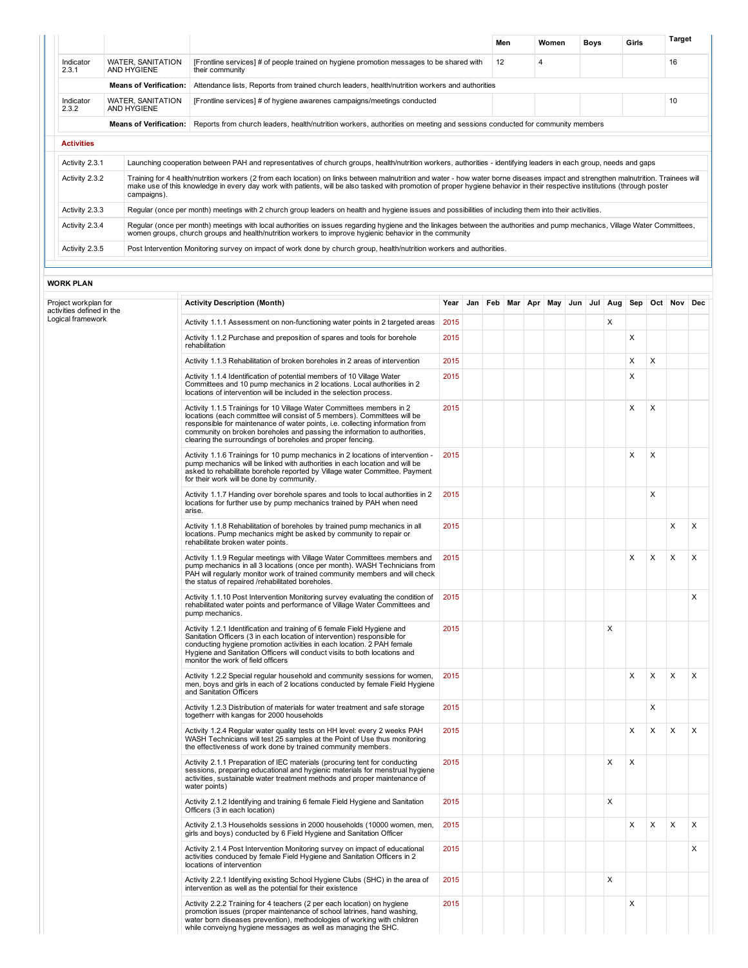|                    |                                  |                                                                                                                                                                                                                                                                                                                                                                   | Men | Women | Boys | Girls | <b>Target</b> |
|--------------------|----------------------------------|-------------------------------------------------------------------------------------------------------------------------------------------------------------------------------------------------------------------------------------------------------------------------------------------------------------------------------------------------------------------|-----|-------|------|-------|---------------|
| Indicator<br>2.3.1 | WATER, SANITATION<br>AND HYGIENE | [Frontline services] # of people trained on hygiene promotion messages to be shared with<br>their community                                                                                                                                                                                                                                                       | 12  | 4     |      |       | 16            |
|                    | <b>Means of Verification:</b>    | Attendance lists, Reports from trained church leaders, health/nutrition workers and authorities                                                                                                                                                                                                                                                                   |     |       |      |       |               |
| Indicator<br>2.3.2 | WATER, SANITATION<br>AND HYGIENE | [Frontline services] # of hygiene awarenes campaigns/meetings conducted                                                                                                                                                                                                                                                                                           |     |       |      |       | 10            |
|                    | <b>Means of Verification:</b>    | Reports from church leaders, health/nutrition workers, authorities on meeting and sessions conducted for community members                                                                                                                                                                                                                                        |     |       |      |       |               |
| <b>Activities</b>  |                                  |                                                                                                                                                                                                                                                                                                                                                                   |     |       |      |       |               |
|                    |                                  |                                                                                                                                                                                                                                                                                                                                                                   |     |       |      |       |               |
| Activity 2.3.1     |                                  | Launching cooperation between PAH and representatives of church groups, health/nutrition workers, authorities - identifying leaders in each group, needs and gaps                                                                                                                                                                                                 |     |       |      |       |               |
| Activity 2.3.2     | campaigns).                      | Training for 4 health/nutrition workers (2 from each location) on links between malnutrition and water - how water borne diseases impact and strengthen malnutrition. Trainees will<br>make use of this knowledge in every day work with patients, will be also tasked with promotion of proper hygiene behavior in their respective institutions (through poster |     |       |      |       |               |
| Activity 2.3.3     |                                  | Regular (once per month) meetings with 2 church group leaders on health and hygiene issues and possibilities of including them into their activities.                                                                                                                                                                                                             |     |       |      |       |               |
| Activity 2.3.4     |                                  | Regular (once per month) meetings with local authorities on issues regarding hygiene and the linkages between the authorities and pump mechanics, Village Water Committees,<br>women groups, church groups and health/nutrition workers to improve hygienic behavior in the community                                                                             |     |       |      |       |               |

## WORK PLAN

| Project workplan for<br>activities defined in the | <b>Activity Description (Month)</b>                                                                                                                                                                                                                                                                                                                                           | Year |  |  | Jan Feb Mar Apr May Jun Jul Aug |  |   |   |   | Sep Oct Nov | Dec |
|---------------------------------------------------|-------------------------------------------------------------------------------------------------------------------------------------------------------------------------------------------------------------------------------------------------------------------------------------------------------------------------------------------------------------------------------|------|--|--|---------------------------------|--|---|---|---|-------------|-----|
| Logical framework                                 | Activity 1.1.1 Assessment on non-functioning water points in 2 targeted areas                                                                                                                                                                                                                                                                                                 | 2015 |  |  |                                 |  | X |   |   |             |     |
|                                                   | Activity 1.1.2 Purchase and preposition of spares and tools for borehole<br>rehabilitation                                                                                                                                                                                                                                                                                    | 2015 |  |  |                                 |  |   | X |   |             |     |
|                                                   | Activity 1.1.3 Rehabilitation of broken boreholes in 2 areas of intervention                                                                                                                                                                                                                                                                                                  | 2015 |  |  |                                 |  |   | X | X |             |     |
|                                                   | Activity 1.1.4 Identification of potential members of 10 Village Water<br>Committees and 10 pump mechanics in 2 locations. Local authorities in 2<br>locations of intervention will be included in the selection process.                                                                                                                                                     | 2015 |  |  |                                 |  |   | X |   |             |     |
|                                                   | Activity 1.1.5 Trainings for 10 Village Water Committees members in 2<br>locations (each committee will consist of 5 members). Committees will be<br>responsible for maintenance of water points, i.e. collecting information from<br>community on broken boreholes and passing the information to authorities,<br>clearing the surroundings of boreholes and proper fencing. | 2015 |  |  |                                 |  |   | X | X |             |     |
|                                                   | Activity 1.1.6 Trainings for 10 pump mechanics in 2 locations of intervention -<br>pump mechanics will be linked with authorities in each location and will be<br>asked to rehabilitate borehole reported by Village water Committee. Payment<br>for their work will be done by community.                                                                                    | 2015 |  |  |                                 |  |   | X | X |             |     |
|                                                   | Activity 1.1.7 Handing over borehole spares and tools to local authorities in 2<br>locations for further use by pump mechanics trained by PAH when need<br>arise.                                                                                                                                                                                                             | 2015 |  |  |                                 |  |   |   | X |             |     |
|                                                   | Activity 1.1.8 Rehabilitation of boreholes by trained pump mechanics in all<br>locations. Pump mechanics might be asked by community to repair or<br>rehabilitate broken water points.                                                                                                                                                                                        | 2015 |  |  |                                 |  |   |   |   | X           | X   |
|                                                   | Activity 1.1.9 Regular meetings with Village Water Committees members and<br>pump mechanics in all 3 locations (once per month). WASH Technicians from<br>PAH will regularly monitor work of trained community members and will check<br>the status of repaired /rehabilitated boreholes.                                                                                     | 2015 |  |  |                                 |  |   | X | X | X           | X   |
|                                                   | Activity 1.1.10 Post Intervention Monitoring survey evaluating the condition of<br>rehabilitated water points and performance of Village Water Committees and<br>pump mechanics.                                                                                                                                                                                              | 2015 |  |  |                                 |  |   |   |   |             | X   |
|                                                   | Activity 1.2.1 Identification and training of 6 female Field Hygiene and<br>Sanitation Officers (3 in each location of intervention) responsible for<br>conducting hygiene promotion activities in each location. 2 PAH female<br>Hygiene and Sanitation Officers will conduct visits to both locations and<br>monitor the work of field officers                             | 2015 |  |  |                                 |  | X |   |   |             |     |
|                                                   | Activity 1.2.2 Special regular household and community sessions for women,<br>men, boys and girls in each of 2 locations conducted by female Field Hygiene<br>and Sanitation Officers                                                                                                                                                                                         | 2015 |  |  |                                 |  |   | X | X | X           | X   |
|                                                   | Activity 1.2.3 Distribution of materials for water treatment and safe storage<br>togetherr with kangas for 2000 households                                                                                                                                                                                                                                                    | 2015 |  |  |                                 |  |   |   | X |             |     |
|                                                   | Activity 1.2.4 Regular water quality tests on HH level: every 2 weeks PAH<br>WASH Technicians will test 25 samples at the Point of Use thus monitoring<br>the effectiveness of work done by trained community members.                                                                                                                                                        | 2015 |  |  |                                 |  |   | X | X | X           | X   |
|                                                   | Activity 2.1.1 Preparation of IEC materials (procuring tent for conducting<br>sessions, preparing educational and hygienic materials for menstrual hygiene<br>activities, sustainable water treatment methods and proper maintenance of<br>water points)                                                                                                                      | 2015 |  |  |                                 |  | X | X |   |             |     |
|                                                   | Activity 2.1.2 Identifying and training 6 female Field Hygiene and Sanitation<br>Officers (3 in each location)                                                                                                                                                                                                                                                                | 2015 |  |  |                                 |  | X |   |   |             |     |
|                                                   | Activity 2.1.3 Households sessions in 2000 households (10000 women, men,<br>girls and boys) conducted by 6 Field Hygiene and Sanitation Officer                                                                                                                                                                                                                               | 2015 |  |  |                                 |  |   | X | X | X           | X   |
|                                                   | Activity 2.1.4 Post Intervention Monitoring survey on impact of educational<br>activities conduced by female Field Hygiene and Sanitation Officers in 2<br>locations of intervention                                                                                                                                                                                          | 2015 |  |  |                                 |  |   |   |   |             | X   |
|                                                   | Activity 2.2.1 Identifying existing School Hygiene Clubs (SHC) in the area of<br>intervention as well as the potential for their existence                                                                                                                                                                                                                                    | 2015 |  |  |                                 |  | X |   |   |             |     |
|                                                   | Activity 2.2.2 Training for 4 teachers (2 per each location) on hygiene<br>promotion issues (proper maintenance of school latrines, hand washing,<br>water born diseases prevention), methodologies of working with children<br>while conveiyng hygiene messages as well as managing the SHC.                                                                                 | 2015 |  |  |                                 |  |   | X |   |             |     |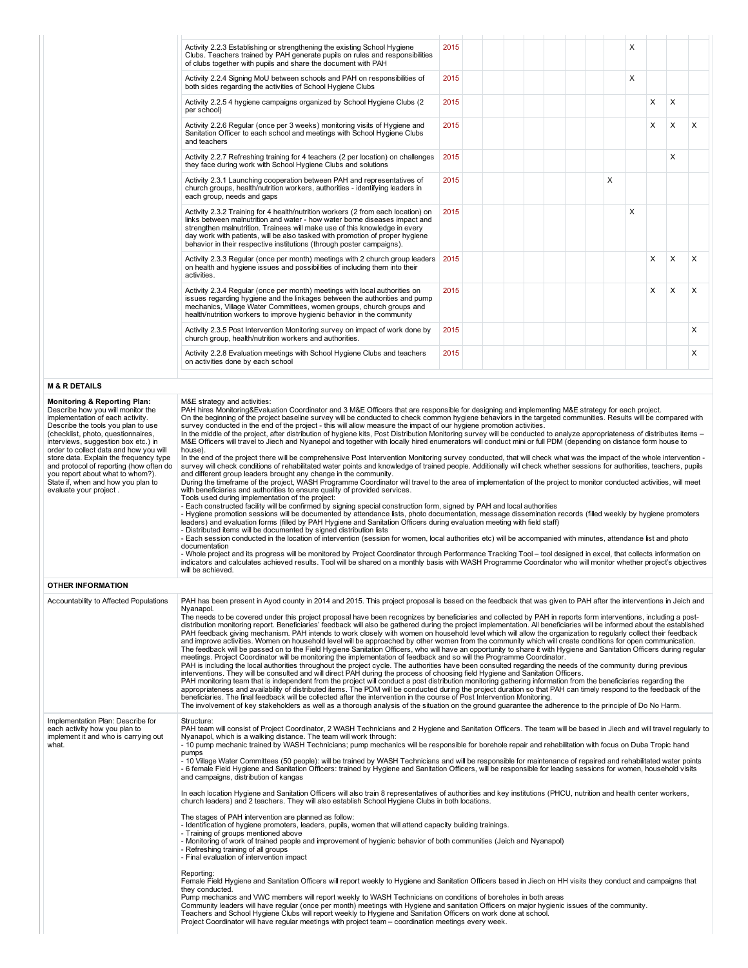| Activity 2.2.3 Establishing or strengthening the existing School Hygiene<br>Clubs. Teachers trained by PAH generate pupils on rules and responsibilities<br>of clubs together with pupils and share the document with PAH                                                                                                                                                                             | 2015 |   | X |   |   |          |
|-------------------------------------------------------------------------------------------------------------------------------------------------------------------------------------------------------------------------------------------------------------------------------------------------------------------------------------------------------------------------------------------------------|------|---|---|---|---|----------|
| Activity 2.2.4 Signing MoU between schools and PAH on responsibilities of<br>both sides regarding the activities of School Hygiene Clubs                                                                                                                                                                                                                                                              | 2015 |   | X |   |   |          |
| Activity 2.2.5 4 hygiene campaigns organized by School Hygiene Clubs (2)<br>per school)                                                                                                                                                                                                                                                                                                               | 2015 |   |   | X | X |          |
| Activity 2.2.6 Regular (once per 3 weeks) monitoring visits of Hygiene and<br>Sanitation Officer to each school and meetings with School Hygiene Clubs<br>and teachers                                                                                                                                                                                                                                | 2015 |   |   | X | X | $\times$ |
| Activity 2.2.7 Refreshing training for 4 teachers (2 per location) on challenges<br>they face during work with School Hygiene Clubs and solutions                                                                                                                                                                                                                                                     | 2015 |   |   |   | X |          |
| Activity 2.3.1 Launching cooperation between PAH and representatives of<br>church groups, health/nutrition workers, authorities - identifying leaders in<br>each group, needs and gaps                                                                                                                                                                                                                | 2015 | X |   |   |   |          |
| Activity 2.3.2 Training for 4 health/nutrition workers (2 from each location) on<br>links between malnutrition and water - how water borne diseases impact and<br>strengthen malnutrition. Trainees will make use of this knowledge in every<br>day work with patients, will be also tasked with promotion of proper hygiene<br>behavior in their respective institutions (through poster campaigns). | 2015 |   | X |   |   |          |
| Activity 2.3.3 Regular (once per month) meetings with 2 church group leaders<br>on health and hygiene issues and possibilities of including them into their<br>activities.                                                                                                                                                                                                                            | 2015 |   |   | X | X | X        |
| Activity 2.3.4 Regular (once per month) meetings with local authorities on<br>issues regarding hygiene and the linkages between the authorities and pump<br>mechanics, Village Water Committees, women groups, church groups and<br>health/nutrition workers to improve hygienic behavior in the community                                                                                            | 2015 |   |   | X | X | $\times$ |
| Activity 2.3.5 Post Intervention Monitoring survey on impact of work done by<br>church group, health/nutrition workers and authorities.                                                                                                                                                                                                                                                               | 2015 |   |   |   |   | X        |
| Activity 2.2.8 Evaluation meetings with School Hygiene Clubs and teachers<br>on activities done by each school                                                                                                                                                                                                                                                                                        | 2015 |   |   |   |   | X        |

## M & R DETAILS

| <b>Monitoring &amp; Reporting Plan:</b><br>Describe how you will monitor the<br>implementation of each activity.<br>Describe the tools you plan to use<br>(checklist, photo, questionnaires,<br>interviews, suggestion box etc.) in<br>order to collect data and how you will<br>store data. Explain the frequency type<br>and protocol of reporting (how often do<br>you report about what to whom?).<br>State if, when and how you plan to<br>evaluate your project. | M&E strategy and activities:<br>PAH hires Monitoring&Evaluation Coordinator and 3 M&E Officers that are responsible for designing and implementing M&E strategy for each project.<br>On the beginning of the project baseline survey will be conducted to check common hygiene behaviors in the targeted communities. Results will be compared with<br>survey conducted in the end of the project - this will allow measure the impact of our hygiene promotion activities.<br>In the middle of the project, after distribution of hygiene kits, Post Distribution Monitoring survey will be conducted to analyze appropriateness of distributes items –<br>M&E Officers will travel to Jiech and Nyanepol and together with locally hired enumerators will conduct mini or full PDM (depending on distance form house to<br>house).<br>In the end of the project there will be comprehensive Post Intervention Monitoring survey conducted, that will check what was the impact of the whole intervention -<br>survey will check conditions of rehabilitated water points and knowledge of trained people. Additionally will check whether sessions for authorities, teachers, pupils<br>and different group leaders brought any change in the community.<br>During the timeframe of the project, WASH Programme Coordinator will travel to the area of implementation of the project to monitor conducted activities, will meet<br>with beneficiaries and authorities to ensure quality of provided services.<br>Tools used during implementation of the project:<br>- Each constructed facility will be confirmed by signing special construction form, signed by PAH and local authorities<br>- Hygiene promotion sessions will be documented by attendance lists, photo documentation, message dissemination records (filled weekly by hygiene promoters<br>leaders) and evaluation forms (filled by PAH Hygiene and Sanitation Officers during evaluation meeting with field staff)<br>- Distributed items will be documented by signed distribution lists<br>- Each session conducted in the location of intervention (session for women, local authorities etc) will be accompanied with minutes, attendance list and photo<br>documentation<br>- Whole project and its progress will be monitored by Project Coordinator through Performance Tracking Tool - tool designed in excel, that collects information on<br>indicators and calculates achieved results. Tool will be shared on a monthly basis with WASH Programme Coordinator who will monitor whether project's objectives<br>will be achieved. |
|------------------------------------------------------------------------------------------------------------------------------------------------------------------------------------------------------------------------------------------------------------------------------------------------------------------------------------------------------------------------------------------------------------------------------------------------------------------------|---------------------------------------------------------------------------------------------------------------------------------------------------------------------------------------------------------------------------------------------------------------------------------------------------------------------------------------------------------------------------------------------------------------------------------------------------------------------------------------------------------------------------------------------------------------------------------------------------------------------------------------------------------------------------------------------------------------------------------------------------------------------------------------------------------------------------------------------------------------------------------------------------------------------------------------------------------------------------------------------------------------------------------------------------------------------------------------------------------------------------------------------------------------------------------------------------------------------------------------------------------------------------------------------------------------------------------------------------------------------------------------------------------------------------------------------------------------------------------------------------------------------------------------------------------------------------------------------------------------------------------------------------------------------------------------------------------------------------------------------------------------------------------------------------------------------------------------------------------------------------------------------------------------------------------------------------------------------------------------------------------------------------------------------------------------------------------------------------------------------------------------------------------------------------------------------------------------------------------------------------------------------------------------------------------------------------------------------------------------------------------------------------------------------------------------------------------------------------------------------------------------------------------------------------------------------------------------------------------------------|
| <b>OTHER INFORMATION</b>                                                                                                                                                                                                                                                                                                                                                                                                                                               |                                                                                                                                                                                                                                                                                                                                                                                                                                                                                                                                                                                                                                                                                                                                                                                                                                                                                                                                                                                                                                                                                                                                                                                                                                                                                                                                                                                                                                                                                                                                                                                                                                                                                                                                                                                                                                                                                                                                                                                                                                                                                                                                                                                                                                                                                                                                                                                                                                                                                                                                                                                                                     |
| Accountability to Affected Populations                                                                                                                                                                                                                                                                                                                                                                                                                                 | PAH has been present in Ayod county in 2014 and 2015. This project proposal is based on the feedback that was given to PAH after the interventions in Jeich and<br>Nyanapol.<br>The needs to be covered under this project proposal have been recognizes by beneficiaries and collected by PAH in reports form interventions, including a post-<br>distribution monitoring report. Beneficiaries' feedback will also be gathered during the project implementation. All beneficiaries will be informed about the established<br>PAH feedback giving mechanism. PAH intends to work closely with women on household level which will allow the organization to regularly collect their feedback<br>and improve activities. Women on household level will be approached by other women from the community which will create conditions for open communication.<br>The feedback will be passed on to the Field Hygiene Sanitation Officers, who will have an opportunity to share it with Hygiene and Sanitation Officers during regular<br>meetings. Project Coordinator will be monitoring the implementation of feedback and so will the Programme Coordinator.<br>PAH is including the local authorities throughout the project cycle. The authorities have been consulted regarding the needs of the community during previous<br>interventions. They will be consulted and will direct PAH during the process of choosing field Hygiene and Sanitation Officers.<br>PAH monitoring team that is independent from the project will conduct a post distribution monitoring gathering information from the beneficiaries regarding the<br>appropriateness and availability of distributed items. The PDM will be conducted during the project duration so that PAH can timely respond to the feedback of the<br>beneficiaries. The final feedback will be collected after the intervention in the course of Post Intervention Monitoring.<br>The involvement of key stakeholders as well as a thorough analysis of the situation on the ground quarantee the adherence to the principle of Do No Harm.                                                                                                                                                                                                                                                                                                                                                                                                                                                                                                              |
| Implementation Plan: Describe for<br>each activity how you plan to<br>implement it and who is carrying out<br>what.                                                                                                                                                                                                                                                                                                                                                    | Structure:<br>PAH team will consist of Project Coordinator, 2 WASH Technicians and 2 Hygiene and Sanitation Officers. The team will be based in Jiech and will travel regularly to<br>Nyanapol, which is a walking distance. The team will work through:<br>- 10 pump mechanic trained by WASH Technicians; pump mechanics will be responsible for borehole repair and rehabilitation with focus on Duba Tropic hand<br>pumps<br>- 10 Village Water Committees (50 people): will be trained by WASH Technicians and will be responsible for maintenance of repaired and rehabilitated water points<br>- 6 female Field Hygiene and Sanitation Officers: trained by Hygiene and Sanitation Officers, will be responsible for leading sessions for women, household visits<br>and campaigns, distribution of kangas<br>In each location Hygiene and Sanitation Officers will also train 8 representatives of authorities and key institutions (PHCU, nutrition and health center workers,<br>church leaders) and 2 teachers. They will also establish School Hygiene Clubs in both locations.<br>The stages of PAH intervention are planned as follow:<br>- Identification of hygiene promoters, leaders, pupils, women that will attend capacity building trainings.<br>- Training of groups mentioned above<br>- Monitoring of work of trained people and improvement of hygienic behavior of both communities (Jeich and Nyanapol)<br>- Refreshing training of all groups<br>- Final evaluation of intervention impact<br>Reporting:<br>Female Field Hygiene and Sanitation Officers will report weekly to Hygiene and Sanitation Officers based in Jiech on HH visits they conduct and campaigns that<br>they conducted.<br>Pump mechanics and VWC members will report weekly to WASH Technicians on conditions of boreholes in both areas<br>Community leaders will have regular (once per month) meetings with Hygiene and sanitation Officers on major hygienic issues of the community.<br>Teachers and School Hygiene Clubs will report weekly to Hygiene and Sanitation Officers on work done at school.<br>Project Coordinator will have regular meetings with project team – coordination meetings every week.                                                                                                                                                                                                                                                                                                                                                                                            |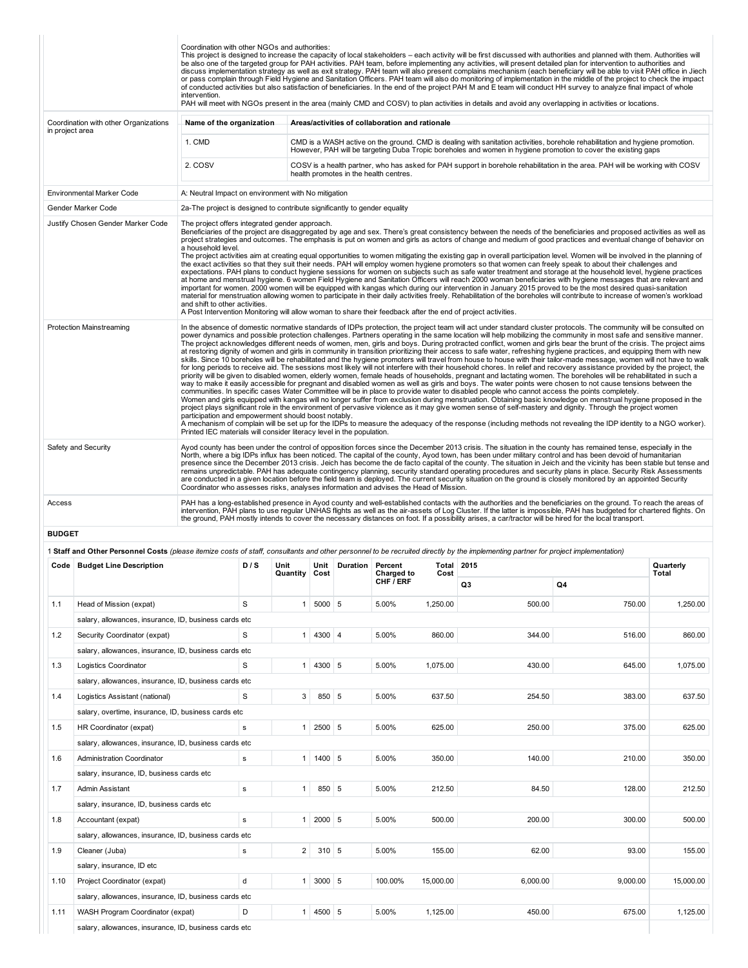|                 |                                                                                                                                                                                    | Coordination with other NGOs and authorities:<br>intervention.                                                                                                       |             |                       |          |                  |                                                 |               | This project is designed to increase the capacity of local stakeholders - each activity will be first discussed with authorities and planned with them. Authorities will<br>be also one of the targeted group for PAH activities. PAH team, before implementing any activities, will present detailed plan for intervention to authorities and<br>discuss implementation strategy as well as exit strategy. PAH team will also present complains mechanism (each beneficiary will be able to visit PAH office in Jiech<br>or pass complain through Field Hygiene and Sanitation Officers. PAH team will also do monitoring of implementation in the middle of the project to check the impact<br>of conducted activities but also satisfaction of beneficiaries. In the end of the project PAH M and E team will conduct HH survey to analyze final impact of whole<br>PAH will meet with NGOs present in the area (mainly CMD and COSV) to plan activities in details and avoid any overlapping in activities or locations.                                                                                                                                                                                                                                                                                                                                                                                                                                                                                                                                                                                                                                                                                                                                                                                                                                                                                                                                                                                                  |          |                    |
|-----------------|------------------------------------------------------------------------------------------------------------------------------------------------------------------------------------|----------------------------------------------------------------------------------------------------------------------------------------------------------------------|-------------|-----------------------|----------|------------------|-------------------------------------------------|---------------|-------------------------------------------------------------------------------------------------------------------------------------------------------------------------------------------------------------------------------------------------------------------------------------------------------------------------------------------------------------------------------------------------------------------------------------------------------------------------------------------------------------------------------------------------------------------------------------------------------------------------------------------------------------------------------------------------------------------------------------------------------------------------------------------------------------------------------------------------------------------------------------------------------------------------------------------------------------------------------------------------------------------------------------------------------------------------------------------------------------------------------------------------------------------------------------------------------------------------------------------------------------------------------------------------------------------------------------------------------------------------------------------------------------------------------------------------------------------------------------------------------------------------------------------------------------------------------------------------------------------------------------------------------------------------------------------------------------------------------------------------------------------------------------------------------------------------------------------------------------------------------------------------------------------------------------------------------------------------------------------------------------------------------|----------|--------------------|
|                 | Coordination with other Organizations                                                                                                                                              | Name of the organization                                                                                                                                             |             |                       |          |                  | Areas/activities of collaboration and rationale |               |                                                                                                                                                                                                                                                                                                                                                                                                                                                                                                                                                                                                                                                                                                                                                                                                                                                                                                                                                                                                                                                                                                                                                                                                                                                                                                                                                                                                                                                                                                                                                                                                                                                                                                                                                                                                                                                                                                                                                                                                                               |          |                    |
| in project area |                                                                                                                                                                                    | 1. CMD                                                                                                                                                               |             |                       |          |                  |                                                 |               | CMD is a WASH active on the ground. CMD is dealing with sanitation activities, borehole rehabilitation and hygiene promotion.<br>However, PAH will be targeting Duba Tropic boreholes and women in hygiene promotion to cover the existing gaps                                                                                                                                                                                                                                                                                                                                                                                                                                                                                                                                                                                                                                                                                                                                                                                                                                                                                                                                                                                                                                                                                                                                                                                                                                                                                                                                                                                                                                                                                                                                                                                                                                                                                                                                                                               |          |                    |
|                 |                                                                                                                                                                                    | 2. COSV                                                                                                                                                              |             |                       |          |                  | health promotes in the health centres.          |               | COSV is a health partner, who has asked for PAH support in borehole rehabilitation in the area. PAH will be working with COSV                                                                                                                                                                                                                                                                                                                                                                                                                                                                                                                                                                                                                                                                                                                                                                                                                                                                                                                                                                                                                                                                                                                                                                                                                                                                                                                                                                                                                                                                                                                                                                                                                                                                                                                                                                                                                                                                                                 |          |                    |
|                 |                                                                                                                                                                                    |                                                                                                                                                                      |             |                       |          |                  |                                                 |               |                                                                                                                                                                                                                                                                                                                                                                                                                                                                                                                                                                                                                                                                                                                                                                                                                                                                                                                                                                                                                                                                                                                                                                                                                                                                                                                                                                                                                                                                                                                                                                                                                                                                                                                                                                                                                                                                                                                                                                                                                               |          |                    |
|                 | Environmental Marker Code<br>Gender Marker Code                                                                                                                                    | A: Neutral Impact on environment with No mitigation                                                                                                                  |             |                       |          |                  |                                                 |               |                                                                                                                                                                                                                                                                                                                                                                                                                                                                                                                                                                                                                                                                                                                                                                                                                                                                                                                                                                                                                                                                                                                                                                                                                                                                                                                                                                                                                                                                                                                                                                                                                                                                                                                                                                                                                                                                                                                                                                                                                               |          |                    |
|                 | Justify Chosen Gender Marker Code                                                                                                                                                  | 2a-The project is designed to contribute significantly to gender equality<br>The project offers integrated gender approach.                                          |             |                       |          |                  |                                                 |               |                                                                                                                                                                                                                                                                                                                                                                                                                                                                                                                                                                                                                                                                                                                                                                                                                                                                                                                                                                                                                                                                                                                                                                                                                                                                                                                                                                                                                                                                                                                                                                                                                                                                                                                                                                                                                                                                                                                                                                                                                               |          |                    |
|                 |                                                                                                                                                                                    | a household level.<br>and shift to other activities.<br>A Post Intervention Monitoring will allow woman to share their feedback after the end of project activities. |             |                       |          |                  |                                                 |               | Beneficiaries of the project are disaggregated by age and sex. There's great consistency between the needs of the beneficiaries and proposed activities as well as<br>project strategies and outcomes. The emphasis is put on women and girls as actors of change and medium of good practices and eventual change of behavior on<br>The project activities aim at creating equal opportunities to women mitigating the existing gap in overall participation level. Women will be involved in the planning of<br>the exact activities so that they suit their needs. PAH will employ women hygiene promoters so that women can freely speak to about their challenges and<br>expectations. PAH plans to conduct hygiene sessions for women on subjects such as safe water treatment and storage at the household level, hygiene practices<br>at home and menstrual hygiene. 6 women Field Hygiene and Sanitation Officers will reach 2000 woman beneficiaries with hygiene messages that are relevant and<br>important for women. 2000 women will be equipped with kangas which during our intervention in January 2015 proved to be the most desired quasi-sanitation<br>material for menstruation allowing women to participate in their daily activities freely. Rehabilitation of the boreholes will contribute to increase of women's workload                                                                                                                                                                                                                                                                                                                                                                                                                                                                                                                                                                                                                                                                          |          |                    |
|                 | <b>Protection Mainstreaming</b>                                                                                                                                                    | participation and empowerment should boost notably.<br>Printed IEC materials will consider literacy level in the population.                                         |             |                       |          |                  |                                                 |               | In the absence of domestic normative standards of IDPs protection, the project team will act under standard cluster protocols. The community will be consulted on<br>power dynamics and possible protection challenges. Partners operating in the same location will help mobilizing the community in most safe and sensitive manner.<br>The project acknowledges different needs of women, men, girls and boys. During protracted conflict, women and girls bear the brunt of the crisis. The project aims<br>at restoring dignity of women and girls in community in transition prioritizing their access to safe water, refreshing hygiene practices, and equipping them with new<br>skills. Since 10 boreholes will be rehabilitated and the hygiene promoters will travel from house to house with their tailor-made message, women will not have to walk<br>for long periods to receive aid. The sessions most likely will not interfere with their household chores. In relief and recovery assistance provided by the project, the<br>priority will be given to disabled women, elderly women, female heads of households, pregnant and lactating women. The boreholes will be rehabilitated in such a<br>way to make it easily accessible for pregnant and disabled women as well as girls and boys. The water points were chosen to not cause tensions between the<br>communities. In specific cases Water Committee will be in place to provide water to disabled people who cannot access the points completely.<br>Women and girls equipped with kangas will no longer suffer from exclusion during menstruation. Obtaining basic knowledge on menstrual hygiene proposed in the<br>project plays significant role in the environment of pervasive violence as it may give women sense of self-mastery and dignity. Through the project women<br>A mechanism of complain will be set up for the IDPs to measure the adequacy of the response (including methods not revealing the IDP identity to a NGO worker). |          |                    |
|                 | Safety and Security                                                                                                                                                                | Coordinator who assesses risks, analyses information and advises the Head of Mission.                                                                                |             |                       |          |                  |                                                 |               | Ayod county has been under the control of opposition forces since the December 2013 crisis. The situation in the county has remained tense, especially in the<br>North, where a big IDPs influx has been noticed. The capital of the county, Ayod town, has been under military control and has been devoid of humanitarian<br>presence since the December 2013 crisis. Jeich has become the de facto capital of the county. The situation in Jeich and the vicinity has been stable but tense and<br>remains unpredictable. PAH has adequate contingency planning, security standard operating procedures and security plans in place. Security Risk Assessments<br>are conducted in a given location before the field team is deployed. The current security situation on the ground is closely monitored by an appointed Security                                                                                                                                                                                                                                                                                                                                                                                                                                                                                                                                                                                                                                                                                                                                                                                                                                                                                                                                                                                                                                                                                                                                                                                          |          |                    |
| Access          |                                                                                                                                                                                    |                                                                                                                                                                      |             |                       |          |                  |                                                 |               | PAH has a long-established presence in Ayod county and well-established contacts with the authorities and the beneficiaries on the ground. To reach the areas of<br>intervention, PAH plans to use regular UNHAS flights as well as the air-assets of Log Cluster. If the latter is impossible, PAH has budgeted for chartered flights. On<br>the ground, PAH mostly intends to cover the necessary distances on foot. If a possibility arises, a car/tractor will be hired for the local transport.                                                                                                                                                                                                                                                                                                                                                                                                                                                                                                                                                                                                                                                                                                                                                                                                                                                                                                                                                                                                                                                                                                                                                                                                                                                                                                                                                                                                                                                                                                                          |          |                    |
| <b>BUDGET</b>   |                                                                                                                                                                                    |                                                                                                                                                                      |             |                       |          |                  |                                                 |               |                                                                                                                                                                                                                                                                                                                                                                                                                                                                                                                                                                                                                                                                                                                                                                                                                                                                                                                                                                                                                                                                                                                                                                                                                                                                                                                                                                                                                                                                                                                                                                                                                                                                                                                                                                                                                                                                                                                                                                                                                               |          |                    |
|                 | 1 Staff and Other Personnel Costs (please itemize costs of staff, consultants and other personnel to be recruited directly by the implementing partner for project implementation) |                                                                                                                                                                      |             |                       |          |                  |                                                 |               |                                                                                                                                                                                                                                                                                                                                                                                                                                                                                                                                                                                                                                                                                                                                                                                                                                                                                                                                                                                                                                                                                                                                                                                                                                                                                                                                                                                                                                                                                                                                                                                                                                                                                                                                                                                                                                                                                                                                                                                                                               |          |                    |
|                 | Code   Budget Line Description                                                                                                                                                     |                                                                                                                                                                      | D/S         | Unit<br>Quantity Cost | Unit     | Duration Percent | <b>Charged to</b>                               | Total<br>Cost | 2015                                                                                                                                                                                                                                                                                                                                                                                                                                                                                                                                                                                                                                                                                                                                                                                                                                                                                                                                                                                                                                                                                                                                                                                                                                                                                                                                                                                                                                                                                                                                                                                                                                                                                                                                                                                                                                                                                                                                                                                                                          |          | Quarterly<br>Total |
|                 |                                                                                                                                                                                    |                                                                                                                                                                      |             |                       |          |                  | CHF / ERF                                       |               | Q3                                                                                                                                                                                                                                                                                                                                                                                                                                                                                                                                                                                                                                                                                                                                                                                                                                                                                                                                                                                                                                                                                                                                                                                                                                                                                                                                                                                                                                                                                                                                                                                                                                                                                                                                                                                                                                                                                                                                                                                                                            | Q4       |                    |
| 1.1             | Head of Mission (expat)                                                                                                                                                            |                                                                                                                                                                      | S           | 1                     | $5000$ 5 |                  | 5.00%                                           | 1.250.00      | 500.00                                                                                                                                                                                                                                                                                                                                                                                                                                                                                                                                                                                                                                                                                                                                                                                                                                                                                                                                                                                                                                                                                                                                                                                                                                                                                                                                                                                                                                                                                                                                                                                                                                                                                                                                                                                                                                                                                                                                                                                                                        | 750.00   | 1,250.00           |
|                 | salary, allowances, insurance, ID, business cards etc                                                                                                                              |                                                                                                                                                                      |             |                       |          |                  |                                                 |               |                                                                                                                                                                                                                                                                                                                                                                                                                                                                                                                                                                                                                                                                                                                                                                                                                                                                                                                                                                                                                                                                                                                                                                                                                                                                                                                                                                                                                                                                                                                                                                                                                                                                                                                                                                                                                                                                                                                                                                                                                               |          |                    |
| $1.2$           | Security Coordinator (expat)                                                                                                                                                       |                                                                                                                                                                      | S           | 1                     | 4300 4   |                  | 5.00%                                           | 860.00        | 344.00                                                                                                                                                                                                                                                                                                                                                                                                                                                                                                                                                                                                                                                                                                                                                                                                                                                                                                                                                                                                                                                                                                                                                                                                                                                                                                                                                                                                                                                                                                                                                                                                                                                                                                                                                                                                                                                                                                                                                                                                                        | 516.00   | 860.00             |
|                 | salary, allowances, insurance, ID, business cards etc                                                                                                                              |                                                                                                                                                                      |             |                       |          |                  |                                                 |               |                                                                                                                                                                                                                                                                                                                                                                                                                                                                                                                                                                                                                                                                                                                                                                                                                                                                                                                                                                                                                                                                                                                                                                                                                                                                                                                                                                                                                                                                                                                                                                                                                                                                                                                                                                                                                                                                                                                                                                                                                               |          |                    |
| 1.3             | Logistics Coordinator                                                                                                                                                              |                                                                                                                                                                      | S           | 1                     | 4300 5   |                  | 5.00%                                           | 1,075.00      | 430.00                                                                                                                                                                                                                                                                                                                                                                                                                                                                                                                                                                                                                                                                                                                                                                                                                                                                                                                                                                                                                                                                                                                                                                                                                                                                                                                                                                                                                                                                                                                                                                                                                                                                                                                                                                                                                                                                                                                                                                                                                        | 645.00   | 1,075.00           |
|                 | salary, allowances, insurance, ID, business cards etc                                                                                                                              |                                                                                                                                                                      |             |                       |          |                  |                                                 |               |                                                                                                                                                                                                                                                                                                                                                                                                                                                                                                                                                                                                                                                                                                                                                                                                                                                                                                                                                                                                                                                                                                                                                                                                                                                                                                                                                                                                                                                                                                                                                                                                                                                                                                                                                                                                                                                                                                                                                                                                                               |          |                    |
| 1.4             | Logistics Assistant (national)                                                                                                                                                     |                                                                                                                                                                      | S           | 3                     | 850 5    |                  | 5.00%                                           | 637.50        | 254.50                                                                                                                                                                                                                                                                                                                                                                                                                                                                                                                                                                                                                                                                                                                                                                                                                                                                                                                                                                                                                                                                                                                                                                                                                                                                                                                                                                                                                                                                                                                                                                                                                                                                                                                                                                                                                                                                                                                                                                                                                        | 383.00   | 637.50             |
|                 | salary, overtime, insurance, ID, business cards etc                                                                                                                                |                                                                                                                                                                      |             |                       |          |                  |                                                 |               |                                                                                                                                                                                                                                                                                                                                                                                                                                                                                                                                                                                                                                                                                                                                                                                                                                                                                                                                                                                                                                                                                                                                                                                                                                                                                                                                                                                                                                                                                                                                                                                                                                                                                                                                                                                                                                                                                                                                                                                                                               |          |                    |
| 1.5             | HR Coordinator (expat)                                                                                                                                                             |                                                                                                                                                                      | s           | 1                     | 2500 5   |                  | 5.00%                                           | 625.00        | 250.00                                                                                                                                                                                                                                                                                                                                                                                                                                                                                                                                                                                                                                                                                                                                                                                                                                                                                                                                                                                                                                                                                                                                                                                                                                                                                                                                                                                                                                                                                                                                                                                                                                                                                                                                                                                                                                                                                                                                                                                                                        | 375.00   | 625.00             |
|                 | salary, allowances, insurance, ID, business cards etc                                                                                                                              |                                                                                                                                                                      |             |                       |          |                  |                                                 |               |                                                                                                                                                                                                                                                                                                                                                                                                                                                                                                                                                                                                                                                                                                                                                                                                                                                                                                                                                                                                                                                                                                                                                                                                                                                                                                                                                                                                                                                                                                                                                                                                                                                                                                                                                                                                                                                                                                                                                                                                                               |          |                    |
| 1.6             | Administration Coordinator                                                                                                                                                         |                                                                                                                                                                      | s           | 1                     | 1400     | $\sqrt{5}$       | 5.00%                                           | 350.00        | 140.00                                                                                                                                                                                                                                                                                                                                                                                                                                                                                                                                                                                                                                                                                                                                                                                                                                                                                                                                                                                                                                                                                                                                                                                                                                                                                                                                                                                                                                                                                                                                                                                                                                                                                                                                                                                                                                                                                                                                                                                                                        | 210.00   | 350.00             |
|                 | salary, insurance, ID, business cards etc                                                                                                                                          |                                                                                                                                                                      |             |                       |          |                  |                                                 |               |                                                                                                                                                                                                                                                                                                                                                                                                                                                                                                                                                                                                                                                                                                                                                                                                                                                                                                                                                                                                                                                                                                                                                                                                                                                                                                                                                                                                                                                                                                                                                                                                                                                                                                                                                                                                                                                                                                                                                                                                                               |          |                    |
| 1.7             | Admin Assistant                                                                                                                                                                    |                                                                                                                                                                      | ${\bf s}$   | $\mathbf{1}$          | 850      | 5                | 5.00%                                           | 212.50        | 84.50                                                                                                                                                                                                                                                                                                                                                                                                                                                                                                                                                                                                                                                                                                                                                                                                                                                                                                                                                                                                                                                                                                                                                                                                                                                                                                                                                                                                                                                                                                                                                                                                                                                                                                                                                                                                                                                                                                                                                                                                                         | 128.00   | 212.50             |
|                 | salary, insurance, ID, business cards etc                                                                                                                                          |                                                                                                                                                                      |             |                       |          |                  |                                                 |               |                                                                                                                                                                                                                                                                                                                                                                                                                                                                                                                                                                                                                                                                                                                                                                                                                                                                                                                                                                                                                                                                                                                                                                                                                                                                                                                                                                                                                                                                                                                                                                                                                                                                                                                                                                                                                                                                                                                                                                                                                               |          |                    |
| 1.8             | Accountant (expat)                                                                                                                                                                 |                                                                                                                                                                      | $\mathbf s$ | 1                     | 2000 5   |                  | 5.00%                                           | 500.00        | 200.00                                                                                                                                                                                                                                                                                                                                                                                                                                                                                                                                                                                                                                                                                                                                                                                                                                                                                                                                                                                                                                                                                                                                                                                                                                                                                                                                                                                                                                                                                                                                                                                                                                                                                                                                                                                                                                                                                                                                                                                                                        | 300.00   | 500.00             |
|                 | salary, allowances, insurance, ID, business cards etc                                                                                                                              |                                                                                                                                                                      |             |                       |          |                  |                                                 |               |                                                                                                                                                                                                                                                                                                                                                                                                                                                                                                                                                                                                                                                                                                                                                                                                                                                                                                                                                                                                                                                                                                                                                                                                                                                                                                                                                                                                                                                                                                                                                                                                                                                                                                                                                                                                                                                                                                                                                                                                                               |          |                    |
| 1.9             | Cleaner (Juba)                                                                                                                                                                     |                                                                                                                                                                      | s           | $\overline{2}$        | $310$ 5  |                  | 5.00%                                           | 155.00        | 62.00                                                                                                                                                                                                                                                                                                                                                                                                                                                                                                                                                                                                                                                                                                                                                                                                                                                                                                                                                                                                                                                                                                                                                                                                                                                                                                                                                                                                                                                                                                                                                                                                                                                                                                                                                                                                                                                                                                                                                                                                                         | 93.00    | 155.00             |
|                 | salary, insurance, ID etc                                                                                                                                                          |                                                                                                                                                                      |             |                       |          |                  |                                                 |               |                                                                                                                                                                                                                                                                                                                                                                                                                                                                                                                                                                                                                                                                                                                                                                                                                                                                                                                                                                                                                                                                                                                                                                                                                                                                                                                                                                                                                                                                                                                                                                                                                                                                                                                                                                                                                                                                                                                                                                                                                               |          |                    |
| 1.10            | Project Coordinator (expat)                                                                                                                                                        |                                                                                                                                                                      | d           | 1                     | 3000 5   |                  | 100.00%                                         | 15,000.00     | 6,000.00                                                                                                                                                                                                                                                                                                                                                                                                                                                                                                                                                                                                                                                                                                                                                                                                                                                                                                                                                                                                                                                                                                                                                                                                                                                                                                                                                                                                                                                                                                                                                                                                                                                                                                                                                                                                                                                                                                                                                                                                                      | 9,000.00 | 15,000.00          |
|                 | salary, allowances, insurance, ID, business cards etc                                                                                                                              |                                                                                                                                                                      |             |                       |          |                  |                                                 |               |                                                                                                                                                                                                                                                                                                                                                                                                                                                                                                                                                                                                                                                                                                                                                                                                                                                                                                                                                                                                                                                                                                                                                                                                                                                                                                                                                                                                                                                                                                                                                                                                                                                                                                                                                                                                                                                                                                                                                                                                                               |          |                    |

1,125.00

1.11 WASH Program Coordinator (expat) D 1 4500 5 5.00% 1,125.00 450.00 450.00 675.00 675.00 1,125.00

salary, allowances, insurance, ID, business cards etc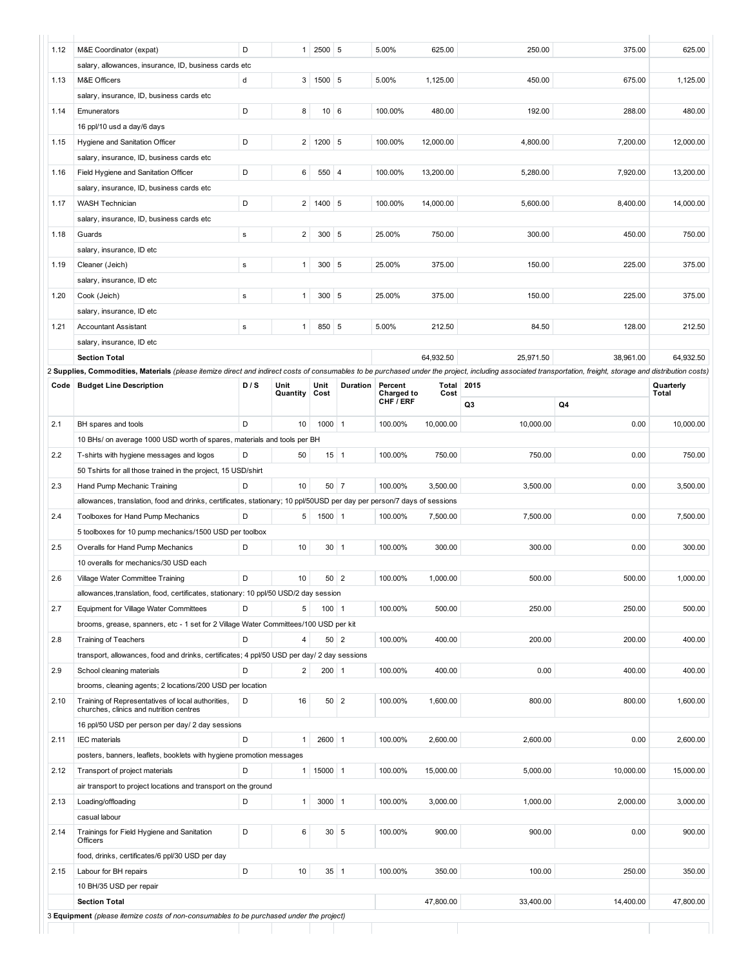| 1.12 | M&E Coordinator (expat)                                                                                                                                                                                      | D         | $\mathbf{1}$   | 2500 5               |             | 5.00%                          | 625.00            | 250.00    | 375.00    | 625.00    |
|------|--------------------------------------------------------------------------------------------------------------------------------------------------------------------------------------------------------------|-----------|----------------|----------------------|-------------|--------------------------------|-------------------|-----------|-----------|-----------|
|      | salary, allowances, insurance, ID, business cards etc                                                                                                                                                        |           |                |                      |             |                                |                   |           |           |           |
| 1.13 | M&E Officers                                                                                                                                                                                                 | d         |                | 3   1500   5         |             | 5.00%                          | 1,125.00          | 450.00    | 675.00    | 1,125.00  |
|      | salary, insurance, ID, business cards etc                                                                                                                                                                    |           |                |                      |             |                                |                   |           |           |           |
| 1.14 | Emunerators                                                                                                                                                                                                  | D         | 8              | $10 \mid 6$          |             | 100.00%                        | 480.00            | 192.00    | 288.00    | 480.00    |
|      | 16 ppl/10 usd a day/6 days                                                                                                                                                                                   |           |                |                      |             |                                |                   |           |           |           |
| 1.15 | Hygiene and Sanitation Officer                                                                                                                                                                               | D         |                | $2 \mid 1200 \mid 5$ |             | 100.00%                        | 12,000.00         | 4,800.00  | 7,200.00  | 12,000.00 |
|      | salary, insurance, ID, business cards etc                                                                                                                                                                    |           |                |                      |             |                                |                   |           |           |           |
| 1.16 | Field Hygiene and Sanitation Officer                                                                                                                                                                         | D         | 6              | 550 4                |             | 100.00%                        | 13,200.00         | 5,280.00  | 7,920.00  | 13,200.00 |
|      | salary, insurance, ID, business cards etc                                                                                                                                                                    |           |                |                      |             |                                |                   |           |           |           |
| 1.17 | <b>WASH Technician</b>                                                                                                                                                                                       | D         | $\overline{2}$ | 1400 5               |             | 100.00%                        | 14.000.00         | 5,600.00  | 8,400.00  | 14,000.00 |
|      | salary, insurance, ID, business cards etc                                                                                                                                                                    |           |                |                      |             |                                |                   |           |           |           |
| 1.18 | Guards                                                                                                                                                                                                       | ${\bf s}$ | $\overline{2}$ | $300$ 5              |             | 25.00%                         | 750.00            | 300.00    | 450.00    | 750.00    |
|      | salary, insurance, ID etc                                                                                                                                                                                    |           |                |                      |             |                                |                   |           |           |           |
| 1.19 | Cleaner (Jeich)                                                                                                                                                                                              | ${\bf s}$ | $\mathbf{1}$   | $300$ 5              |             | 25.00%                         | 375.00            | 150.00    | 225.00    | 375.00    |
|      | salary, insurance, ID etc                                                                                                                                                                                    |           |                |                      |             |                                |                   |           |           |           |
| 1.20 | Cook (Jeich)                                                                                                                                                                                                 | ${\bf s}$ | $\mathbf{1}$   | $300$ 5              |             | 25.00%                         | 375.00            | 150.00    | 225.00    | 375.00    |
|      | salary, insurance, ID etc                                                                                                                                                                                    |           |                |                      |             |                                |                   |           |           |           |
| 1.21 | <b>Accountant Assistant</b>                                                                                                                                                                                  | ${\bf s}$ | $\mathbf{1}$   | 850 5                |             | 5.00%                          | 212.50            | 84.50     | 128.00    | 212.50    |
|      | salary, insurance, ID etc                                                                                                                                                                                    |           |                |                      |             |                                |                   |           |           |           |
|      | <b>Section Total</b>                                                                                                                                                                                         |           |                |                      |             |                                | 64,932.50         | 25,971.50 | 38,961.00 | 64,932.50 |
|      | 2 Supplies, Commodities, Materials (please itemize direct and indirect costs of consumables to be purchased under the project, including associated transportation, freight, storage and distribution costs) |           |                |                      |             |                                |                   |           |           |           |
| Code | <b>Budget Line Description</b>                                                                                                                                                                               | D/S       | Unit           | Unit                 | Duration    | Percent                        | <b>Total 2015</b> |           |           | Quarterly |
|      |                                                                                                                                                                                                              |           | Quantity       | Cost                 |             | Charged to<br>CHF <i>i</i> ERF | Cost              |           |           | Total     |
|      |                                                                                                                                                                                                              |           |                |                      |             |                                |                   | Q3        | Q4        |           |
| 2.1  | BH spares and tools                                                                                                                                                                                          | D         | 10             | $1000$ 1             |             | 100.00%                        | 10,000.00         | 10,000.00 | 0.00      | 10,000.00 |
|      | 10 BHs/ on average 1000 USD worth of spares, materials and tools per BH                                                                                                                                      |           |                |                      |             |                                |                   |           |           |           |
| 2.2  | T-shirts with hygiene messages and logos                                                                                                                                                                     | D         | 50             |                      | $15$ 1      | 100.00%                        | 750.00            | 750.00    | 0.00      | 750.00    |
|      | 50 Tshirts for all those trained in the project, 15 USD/shirt                                                                                                                                                |           |                |                      |             |                                |                   |           |           |           |
| 2.3  | Hand Pump Mechanic Training                                                                                                                                                                                  | D         | 10             |                      | $50 \mid 7$ | 100.00%                        | 3,500.00          | 3,500.00  | 0.00      | 3,500.00  |
|      | allowances, translation, food and drinks, certificates, stationary; 10 ppl/50USD per day per person/7 days of sessions                                                                                       |           |                |                      |             |                                |                   |           |           |           |
| 2.4  | Toolboxes for Hand Pump Mechanics                                                                                                                                                                            | D         | 5              | $1500$ 1             |             | 100.00%                        | 7,500.00          | 7,500.00  | 0.00      | 7,500.00  |
|      | 5 toolboxes for 10 pump mechanics/1500 USD per toolbox                                                                                                                                                       |           |                |                      |             |                                |                   |           |           |           |
| 2.5  | Overalls for Hand Pump Mechanics                                                                                                                                                                             | D         | 10             |                      | $30 \mid 1$ | 100.00%                        | 300.00            | 300.00    | 0.00      | 300.00    |
|      | 10 overalls for mechanics/30 USD each                                                                                                                                                                        |           |                |                      |             |                                |                   |           |           |           |
| 2.6  | Village Water Committee Training                                                                                                                                                                             | D         | 10             | $50 \mid 2$          |             | 100.00%                        | 1,000.00          | 500.00    | 500.00    | 1,000.00  |
|      | allowances, translation, food, certificates, stationary: 10 ppl/50 USD/2 day session                                                                                                                         |           |                |                      |             |                                |                   |           |           |           |
| 2.7  | Equipment for Village Water Committees                                                                                                                                                                       | D         | 5              | $100$ 1              |             | 100.00%                        | 500.00            | 250.00    | 250.00    | 500.00    |
|      | brooms, grease, spanners, etc - 1 set for 2 Village Water Committees/100 USD per kit                                                                                                                         |           |                |                      |             |                                |                   |           |           |           |
| 2.8  | <b>Training of Teachers</b>                                                                                                                                                                                  | D         | 4              |                      | 50 2        | 100.00%                        | 400.00            | 200.00    | 200.00    | 400.00    |
|      | transport, allowances, food and drinks, certificates; 4 ppl/50 USD per day/ 2 day sessions                                                                                                                   |           |                |                      |             |                                |                   |           |           |           |
| 2.9  | School cleaning materials                                                                                                                                                                                    | D         | $\overline{c}$ | $200$ 1              |             | 100.00%                        | 400.00            | 0.00      | 400.00    | 400.00    |
|      | brooms, cleaning agents; 2 locations/200 USD per location                                                                                                                                                    |           |                |                      |             |                                |                   |           |           |           |
| 2.10 | Training of Representatives of local authorities,                                                                                                                                                            | D         | 16             |                      | $50 \mid 2$ | 100.00%                        | 1,600.00          | 800.00    | 800.00    | 1,600.00  |
|      | churches, clinics and nutrition centres                                                                                                                                                                      |           |                |                      |             |                                |                   |           |           |           |
|      | 16 ppl/50 USD per person per day/ 2 day sessions                                                                                                                                                             |           |                |                      |             |                                |                   |           |           |           |
| 2.11 | <b>IEC</b> materials                                                                                                                                                                                         | D         | $\mathbf{1}$   | 2600 1               |             | 100.00%                        | 2,600.00          | 2,600.00  | 0.00      | 2,600.00  |
|      | posters, banners, leaflets, booklets with hygiene promotion messages                                                                                                                                         |           |                |                      |             |                                |                   |           |           |           |
| 2.12 | Transport of project materials                                                                                                                                                                               | D         | 1              | 15000 1              |             | 100.00%                        | 15,000.00         | 5,000.00  | 10,000.00 | 15,000.00 |
|      | air transport to project locations and transport on the ground                                                                                                                                               |           |                |                      |             |                                |                   |           |           |           |
| 2.13 | Loading/offloading                                                                                                                                                                                           | D         | $\mathbf{1}$   | $3000$ 1             |             | 100.00%                        | 3,000.00          | 1,000.00  | 2,000.00  | 3,000.00  |
|      | casual labour                                                                                                                                                                                                |           |                |                      |             |                                |                   |           |           |           |
| 2.14 | Trainings for Field Hygiene and Sanitation<br>Officers                                                                                                                                                       | D         | 6              |                      | 30 5        | 100.00%                        | 900.00            | 900.00    | 0.00      | 900.00    |
|      | food, drinks, certificates/6 ppl/30 USD per day                                                                                                                                                              |           |                |                      |             |                                |                   |           |           |           |
| 2.15 | Labour for BH repairs                                                                                                                                                                                        | D         | 10             |                      | $35$ 1      | 100.00%                        | 350.00            | 100.00    | 250.00    | 350.00    |
|      | 10 BH/35 USD per repair                                                                                                                                                                                      |           |                |                      |             |                                |                   |           |           |           |
|      | <b>Section Total</b>                                                                                                                                                                                         |           |                |                      |             |                                | 47,800.00         | 33,400.00 | 14,400.00 | 47,800.00 |
|      | 3 Equipment (please itemize costs of non-consumables to be purchased under the project)                                                                                                                      |           |                |                      |             |                                |                   |           |           |           |
|      |                                                                                                                                                                                                              |           |                |                      |             |                                |                   |           |           |           |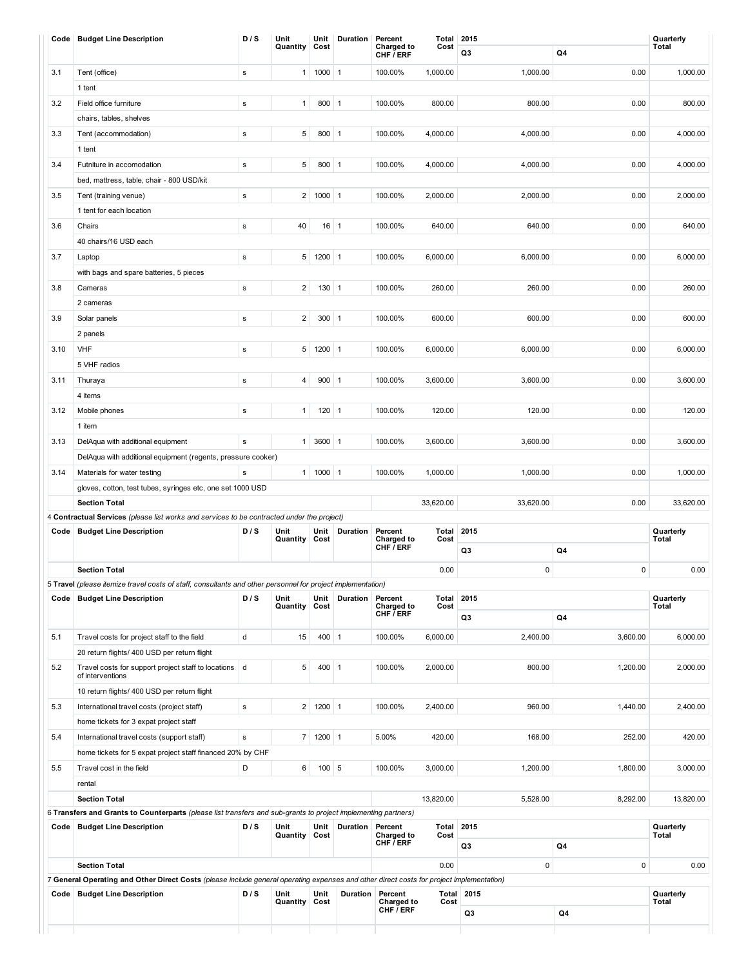|      | Code   Budget Line Description                                                                                                                | D/S         | Unit<br>Quantity | Unit<br>Cost | Duration        | Percent<br><b>Charged to</b> | <b>Total 2015</b><br>Cost |                   |           | Quarterly<br><b>Total</b>                                                                                 |
|------|-----------------------------------------------------------------------------------------------------------------------------------------------|-------------|------------------|--------------|-----------------|------------------------------|---------------------------|-------------------|-----------|-----------------------------------------------------------------------------------------------------------|
|      |                                                                                                                                               |             |                  |              |                 | CHF / ERF                    |                           | Q <sub>3</sub>    | Q4        |                                                                                                           |
| 3.1  | Tent (office)                                                                                                                                 | ${\bf s}$   | $\mathbf{1}$     | $1000$ 1     |                 | 100.00%                      | 1,000.00                  | 1,000.00          | 0.00      | 1,000.00                                                                                                  |
|      | 1 tent                                                                                                                                        |             |                  |              |                 |                              |                           |                   |           |                                                                                                           |
| 3.2  | Field office furniture                                                                                                                        | ${\bf s}$   | $\mathbf{1}$     | 800 1        |                 | 100.00%                      | 800.00                    | 800.00            | 0.00      | 800.00                                                                                                    |
|      | chairs, tables, shelves                                                                                                                       |             |                  |              |                 |                              |                           |                   |           |                                                                                                           |
| 3.3  | Tent (accommodation)                                                                                                                          | ${\bf s}$   | $\,$ 5 $\,$      | 800 1        |                 | 100.00%                      | 4,000.00                  | 4,000.00          | 0.00      | 4,000.00                                                                                                  |
|      | 1 tent                                                                                                                                        |             |                  |              |                 |                              |                           |                   |           |                                                                                                           |
| 3.4  | Futniture in accomodation                                                                                                                     | ${\bf s}$   | 5                | $800$ 1      |                 | 100.00%                      | 4,000.00                  | 4,000.00          | 0.00      | 4,000.00                                                                                                  |
|      | bed, mattress, table, chair - 800 USD/kit                                                                                                     |             |                  |              |                 |                              |                           |                   |           |                                                                                                           |
| 3.5  | Tent (training venue)                                                                                                                         | ${\bf s}$   | $\overline{2}$   | $1000$ 1     |                 | 100.00%                      | 2,000.00                  | 2,000.00          | 0.00      | 2,000.00                                                                                                  |
|      | 1 tent for each location                                                                                                                      |             |                  |              |                 |                              |                           |                   |           |                                                                                                           |
| 3.6  | Chairs                                                                                                                                        | ${\bf s}$   | 40               | $16$ 1       |                 | 100.00%                      | 640.00                    | 640.00            | 0.00      | 640.00                                                                                                    |
|      | 40 chairs/16 USD each                                                                                                                         |             |                  |              |                 |                              |                           |                   |           |                                                                                                           |
| 3.7  | Laptop                                                                                                                                        | $\mathbf s$ | 5                | $1200$ 1     |                 | 100.00%                      | 6,000.00                  | 6,000.00          | 0.00      | 6,000.00                                                                                                  |
|      | with bags and spare batteries, 5 pieces                                                                                                       |             |                  |              |                 |                              |                           |                   |           |                                                                                                           |
| 3.8  | Cameras                                                                                                                                       | ${\bf s}$   | $\overline{2}$   | $130$ 1      |                 | 100.00%                      | 260.00                    | 260.00            | 0.00      | 260.00                                                                                                    |
|      | 2 cameras                                                                                                                                     |             |                  |              |                 |                              |                           |                   |           |                                                                                                           |
| 3.9  | Solar panels                                                                                                                                  | ${\bf s}$   | $\overline{2}$   | $300$ 1      |                 | 100.00%                      | 600.00                    | 600.00            | 0.00      | 600.00                                                                                                    |
|      | 2 panels                                                                                                                                      |             |                  |              |                 |                              |                           |                   |           |                                                                                                           |
| 3.10 | VHF                                                                                                                                           | ${\bf s}$   | 5                | $1200$ 1     |                 | 100.00%                      | 6,000.00                  | 6,000.00          | 0.00      | 6,000.00                                                                                                  |
|      | 5 VHF radios                                                                                                                                  |             |                  |              |                 |                              |                           |                   |           |                                                                                                           |
| 3.11 | Thuraya                                                                                                                                       | ${\bf s}$   | 4                | 900   1      |                 | 100.00%                      | 3,600.00                  | 3,600.00          | 0.00      | 3,600.00                                                                                                  |
|      | 4 items                                                                                                                                       |             |                  |              |                 |                              |                           |                   |           |                                                                                                           |
| 3.12 | Mobile phones                                                                                                                                 | ${\bf s}$   | $\mathbf{1}$     | $120$ 1      |                 | 100.00%                      | 120.00                    | 120.00            | 0.00      | 120.00                                                                                                    |
|      | 1 item                                                                                                                                        |             |                  |              |                 |                              |                           |                   |           |                                                                                                           |
| 3.13 | DelAqua with additional equipment                                                                                                             | ${\bf s}$   | $\mathbf{1}$     | 3600 1       |                 | 100.00%                      | 3,600.00                  | 3,600.00          | 0.00      | 3,600.00                                                                                                  |
|      | DelAqua with additional equipment (regents, pressure cooker)                                                                                  |             |                  |              |                 |                              |                           |                   |           |                                                                                                           |
| 3.14 | Materials for water testing                                                                                                                   | $\mathbf s$ | $\mathbf{1}$     | $1000$ 1     |                 | 100.00%                      | 1,000.00                  | 1,000.00          | 0.00      | 1,000.00                                                                                                  |
|      | gloves, cotton, test tubes, syringes etc, one set 1000 USD                                                                                    |             |                  |              |                 |                              |                           |                   |           |                                                                                                           |
|      | <b>Section Total</b>                                                                                                                          |             |                  |              |                 |                              | 33,620.00                 | 33,620.00         | 0.00      | 33,620.00                                                                                                 |
|      | 4 Contractual Services (please list works and services to be contracted under the project)                                                    |             |                  |              |                 |                              |                           |                   |           |                                                                                                           |
| Code | <b>Budget Line Description</b>                                                                                                                | D/S         | Unit<br>Quantity | Unit<br>Cost | Duration        | Percent<br>Charged to        | Total<br>Cost             | 2015              |           | Quarterly<br>Total                                                                                        |
|      |                                                                                                                                               |             |                  |              |                 | CHF / ERF                    |                           | Q3                | Q4        |                                                                                                           |
|      | <b>Section Total</b>                                                                                                                          |             |                  |              |                 |                              |                           |                   |           |                                                                                                           |
|      |                                                                                                                                               |             |                  |              |                 |                              |                           |                   |           |                                                                                                           |
|      |                                                                                                                                               |             |                  |              |                 |                              | 0.00                      | $\pmb{0}$         | $\pmb{0}$ |                                                                                                           |
|      | 5 Travel (please itemize travel costs of staff, consultants and other personnel for project implementation)<br>Code   Budget Line Description | D/S         | Unit             | Unit         | Duration        | Percent                      | Total                     | 2015              |           | Quarterly                                                                                                 |
|      |                                                                                                                                               |             | Quantity         | Cost         |                 | Charged to<br>CHF / ERF      | Cost                      |                   |           | <b>Total</b>                                                                                              |
|      |                                                                                                                                               |             |                  |              |                 |                              |                           | Q3                | Q4        |                                                                                                           |
| 5.1  | Travel costs for project staff to the field                                                                                                   | d           | 15               | $400$   1    |                 | 100.00%                      | 6,000.00                  | 2,400.00          | 3,600.00  |                                                                                                           |
|      | 20 return flights/ 400 USD per return flight                                                                                                  |             |                  |              |                 |                              |                           |                   |           |                                                                                                           |
| 5.2  | Travel costs for support project staff to locations   d<br>of interventions                                                                   |             | 5                | $400$   1    |                 | 100.00%                      | 2,000.00                  | 800.00            | 1,200.00  |                                                                                                           |
|      |                                                                                                                                               |             |                  |              |                 |                              |                           |                   |           |                                                                                                           |
|      | 10 return flights/ 400 USD per return flight                                                                                                  |             |                  |              |                 |                              |                           |                   |           |                                                                                                           |
| 5.3  | International travel costs (project staff)                                                                                                    | $\mathbf s$ | $\overline{2}$   | $1200$ 1     |                 | 100.00%                      | 2,400.00                  | 960.00            | 1,440.00  |                                                                                                           |
|      | home tickets for 3 expat project staff                                                                                                        |             |                  |              |                 |                              |                           |                   |           |                                                                                                           |
| 5.4  | International travel costs (support staff)                                                                                                    | ${\bf s}$   | $\overline{7}$   | $1200$ 1     |                 | 5.00%                        | 420.00                    | 168.00            | 252.00    |                                                                                                           |
|      | home tickets for 5 expat project staff financed 20% by CHF                                                                                    |             |                  |              |                 |                              |                           |                   |           |                                                                                                           |
| 5.5  | Travel cost in the field                                                                                                                      | D           | 6                | $100$ 5      |                 | 100.00%                      | 3,000.00                  | 1,200.00          | 1,800.00  |                                                                                                           |
|      | rental                                                                                                                                        |             |                  |              |                 |                              |                           |                   |           |                                                                                                           |
|      | <b>Section Total</b>                                                                                                                          |             |                  |              |                 |                              | 13,820.00                 | 5,528.00          | 8,292.00  |                                                                                                           |
|      | 6 Transfers and Grants to Counterparts (please list transfers and sub-grants to project implementing partners)                                | D/S         | Unit             | Unit         |                 |                              |                           | 2015              |           |                                                                                                           |
|      | Code   Budget Line Description                                                                                                                |             | Quantity         | Cost         | <b>Duration</b> | Percent<br><b>Charged to</b> | Total<br>Cost             |                   |           | Quarterly<br><b>Total</b>                                                                                 |
|      |                                                                                                                                               |             |                  |              |                 | CHF / ERF                    |                           | Q3                | Q4        |                                                                                                           |
|      | <b>Section Total</b>                                                                                                                          |             |                  |              |                 |                              | 0.00                      | $\pmb{0}$         | $\pmb{0}$ |                                                                                                           |
|      | 7 General Operating and Other Direct Costs (please include general operating expenses and other direct costs for project implementation)      |             |                  |              |                 |                              |                           |                   |           |                                                                                                           |
|      | Code   Budget Line Description                                                                                                                | D/S         | Unit<br>Quantity | Unit<br>Cost | Duration        | Percent<br><b>Charged to</b> | Cost                      | <b>Total 2015</b> |           | 0.00<br>6,000.00<br>2,000.00<br>2,400.00<br>420.00<br>3,000.00<br>13,820.00<br>0.00<br>Quarterly<br>Total |